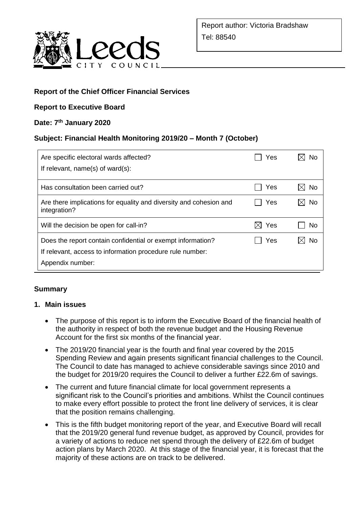

### **Report of the Chief Officer Financial Services**

### **Report to Executive Board**

### **Date: 7 th January 2020**

### **Subject: Financial Health Monitoring 2019/20 – Month 7 (October)**

| Are specific electoral wards affected?<br>If relevant, $name(s)$ of ward $(s)$ :                                                             | Yes             | N٥ |
|----------------------------------------------------------------------------------------------------------------------------------------------|-----------------|----|
| Has consultation been carried out?                                                                                                           | Yes             | No |
| Are there implications for equality and diversity and cohesion and<br>integration?                                                           | Yes             | No |
| Will the decision be open for call-in?                                                                                                       | $\boxtimes$ Yes | No |
| Does the report contain confidential or exempt information?<br>If relevant, access to information procedure rule number:<br>Appendix number: | Yes             | N٥ |

### **Summary**

#### **1. Main issues**

- The purpose of this report is to inform the Executive Board of the financial health of the authority in respect of both the revenue budget and the Housing Revenue Account for the first six months of the financial year.
- The 2019/20 financial year is the fourth and final year covered by the 2015 Spending Review and again presents significant financial challenges to the Council. The Council to date has managed to achieve considerable savings since 2010 and the budget for 2019/20 requires the Council to deliver a further £22.6m of savings.
- The current and future financial climate for local government represents a significant risk to the Council's priorities and ambitions. Whilst the Council continues to make every effort possible to protect the front line delivery of services, it is clear that the position remains challenging.
- This is the fifth budget monitoring report of the year, and Executive Board will recall that the 2019/20 general fund revenue budget, as approved by Council, provides for a variety of actions to reduce net spend through the delivery of £22.6m of budget action plans by March 2020. At this stage of the financial year, it is forecast that the majority of these actions are on track to be delivered.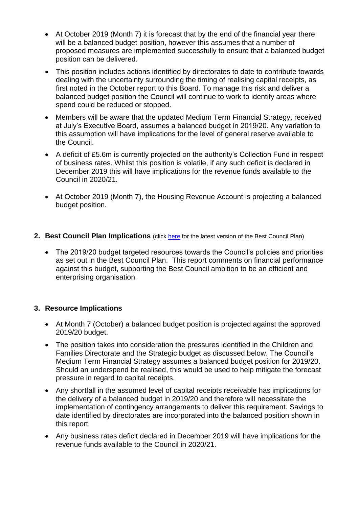- At October 2019 (Month 7) it is forecast that by the end of the financial year there will be a balanced budget position, however this assumes that a number of proposed measures are implemented successfully to ensure that a balanced budget position can be delivered.
- This position includes actions identified by directorates to date to contribute towards dealing with the uncertainty surrounding the timing of realising capital receipts, as first noted in the October report to this Board. To manage this risk and deliver a balanced budget position the Council will continue to work to identify areas where spend could be reduced or stopped.
- Members will be aware that the updated Medium Term Financial Strategy, received at July's Executive Board, assumes a balanced budget in 2019/20. Any variation to this assumption will have implications for the level of general reserve available to the Council.
- A deficit of £5.6m is currently projected on the authority's Collection Fund in respect of business rates. Whilst this position is volatile, if any such deficit is declared in December 2019 this will have implications for the revenue funds available to the Council in 2020/21.
- At October 2019 (Month 7), the Housing Revenue Account is projecting a balanced budget position.
- **2. Best Council Plan Implications** (click [here](https://www.leeds.gov.uk/your-council/plans-and-strategies/council-plans) for the latest version of the Best Council Plan)
	- The 2019/20 budget targeted resources towards the Council's policies and priorities as set out in the Best Council Plan. This report comments on financial performance against this budget, supporting the Best Council ambition to be an efficient and enterprising organisation.

### **3. Resource Implications**

- At Month 7 (October) a balanced budget position is projected against the approved 2019/20 budget.
- The position takes into consideration the pressures identified in the Children and Families Directorate and the Strategic budget as discussed below. The Council's Medium Term Financial Strategy assumes a balanced budget position for 2019/20. Should an underspend be realised, this would be used to help mitigate the forecast pressure in regard to capital receipts.
- Any shortfall in the assumed level of capital receipts receivable has implications for the delivery of a balanced budget in 2019/20 and therefore will necessitate the implementation of contingency arrangements to deliver this requirement. Savings to date identified by directorates are incorporated into the balanced position shown in this report.
- Any business rates deficit declared in December 2019 will have implications for the revenue funds available to the Council in 2020/21.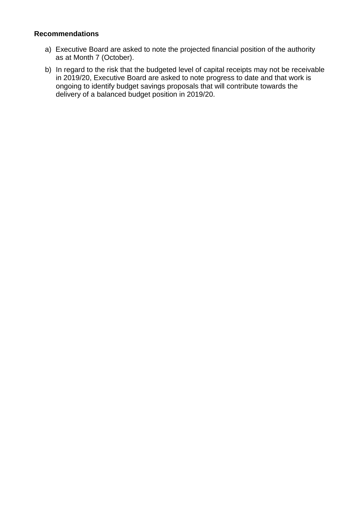#### **Recommendations**

- a) Executive Board are asked to note the projected financial position of the authority as at Month 7 (October).
- b) In regard to the risk that the budgeted level of capital receipts may not be receivable in 2019/20, Executive Board are asked to note progress to date and that work is ongoing to identify budget savings proposals that will contribute towards the delivery of a balanced budget position in 2019/20.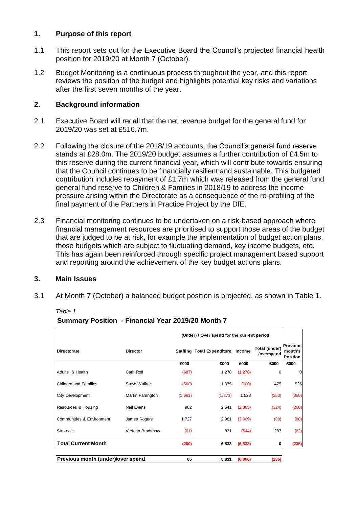#### **1. Purpose of this report**

- 1.1 This report sets out for the Executive Board the Council's projected financial health position for 2019/20 at Month 7 (October).
- 1.2 Budget Monitoring is a continuous process throughout the year, and this report reviews the position of the budget and highlights potential key risks and variations after the first seven months of the year.

### **2. Background information**

- 2.1 Executive Board will recall that the net revenue budget for the general fund for 2019/20 was set at £516.7m.
- 2.2 Following the closure of the 2018/19 accounts, the Council's general fund reserve stands at £28.0m. The 2019/20 budget assumes a further contribution of £4.5m to this reserve during the current financial year, which will contribute towards ensuring that the Council continues to be financially resilient and sustainable. This budgeted contribution includes repayment of £1.7m which was released from the general fund general fund reserve to Children & Families in 2018/19 to address the income pressure arising within the Directorate as a consequence of the re-profiling of the final payment of the Partners in Practice Project by the DfE.
- 2.3 Financial monitoring continues to be undertaken on a risk-based approach where financial management resources are prioritised to support those areas of the budget that are judged to be at risk, for example the implementation of budget action plans, those budgets which are subject to fluctuating demand, key income budgets, etc. This has again been reinforced through specific project management based support and reporting around the achievement of the key budget actions plans.

### **3. Main Issues**

3.1 At Month 7 (October) a balanced budget position is projected, as shown in Table 1.

|                                          |                   |         | (Under) / Over spend for the current period |          |                             |                                               |
|------------------------------------------|-------------------|---------|---------------------------------------------|----------|-----------------------------|-----------------------------------------------|
| <b>Directorate</b>                       | <b>Director</b>   |         | <b>Staffing Total Expenditure</b>           | Income   | Total (under)<br>/overspend | <b>Previous</b><br>month's<br><b>Position</b> |
|                                          |                   | £000    | £000                                        | £000     | £000                        | £000                                          |
| Adults & Health                          | Cath Roff         | (687)   | 1,278                                       | (1, 278) | 0                           | $\mathbf 0$                                   |
| <b>Children and Families</b>             | Steve Walker      | (500)   | 1,075                                       | (600)    | 475                         | 525                                           |
| City Development                         | Martin Farrington | (1,661) | (1, 873)                                    | 1,523    | (350)                       | (350)                                         |
| Resources & Housing                      | Neil Evans        | 982     | 2,541                                       | (2,865)  | (324)                       | (260)                                         |
| Communities & Environment                | James Rogers      | 1,727   | 2,981                                       | (3,069)  | (88)                        | (88)                                          |
| Strategic                                | Victoria Bradshaw | (61)    | 831                                         | (544)    | 287                         | (62)                                          |
| <b>Total Current Month</b>               |                   | (200)   | 6,833                                       | (6, 833) | $\bf{0}$                    | (235)                                         |
| <b>Previous month (under)/over spend</b> |                   | 65      | 5,831                                       | (6,066)  | (235)                       |                                               |

*Table 1*

|  | Summary Position - Financial Year 2019/20 Month 7 |
|--|---------------------------------------------------|
|--|---------------------------------------------------|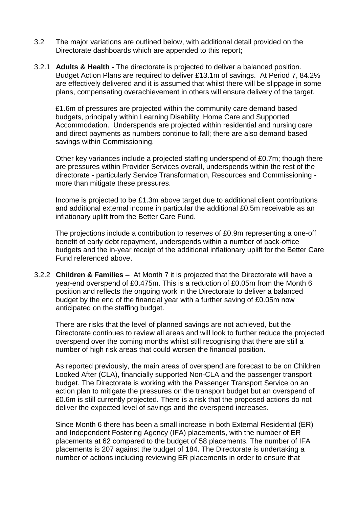- 3.2 The major variations are outlined below, with additional detail provided on the Directorate dashboards which are appended to this report;
- 3.2.1 **Adults & Health -** The directorate is projected to deliver a balanced position. Budget Action Plans are required to deliver £13.1m of savings. At Period 7, 84.2% are effectively delivered and it is assumed that whilst there will be slippage in some plans, compensating overachievement in others will ensure delivery of the target.

£1.6m of pressures are projected within the community care demand based budgets, principally within Learning Disability, Home Care and Supported Accommodation. Underspends are projected within residential and nursing care and direct payments as numbers continue to fall; there are also demand based savings within Commissioning.

Other key variances include a projected staffing underspend of £0.7m; though there are pressures within Provider Services overall, underspends within the rest of the directorate - particularly Service Transformation, Resources and Commissioning more than mitigate these pressures.

Income is projected to be £1.3m above target due to additional client contributions and additional external income in particular the additional £0.5m receivable as an inflationary uplift from the Better Care Fund.

The projections include a contribution to reserves of £0.9m representing a one-off benefit of early debt repayment, underspends within a number of back-office budgets and the in-year receipt of the additional inflationary uplift for the Better Care Fund referenced above.

3.2.2 **Children & Families –** At Month 7 it is projected that the Directorate will have a year-end overspend of £0.475m. This is a reduction of £0.05m from the Month 6 position and reflects the ongoing work in the Directorate to deliver a balanced budget by the end of the financial year with a further saving of £0.05m now anticipated on the staffing budget.

There are risks that the level of planned savings are not achieved, but the Directorate continues to review all areas and will look to further reduce the projected overspend over the coming months whilst still recognising that there are still a number of high risk areas that could worsen the financial position.

As reported previously, the main areas of overspend are forecast to be on Children Looked After (CLA), financially supported Non-CLA and the passenger transport budget. The Directorate is working with the Passenger Transport Service on an action plan to mitigate the pressures on the transport budget but an overspend of £0.6m is still currently projected. There is a risk that the proposed actions do not deliver the expected level of savings and the overspend increases.

Since Month 6 there has been a small increase in both External Residential (ER) and Independent Fostering Agency (IFA) placements, with the number of ER placements at 62 compared to the budget of 58 placements. The number of IFA placements is 207 against the budget of 184. The Directorate is undertaking a number of actions including reviewing ER placements in order to ensure that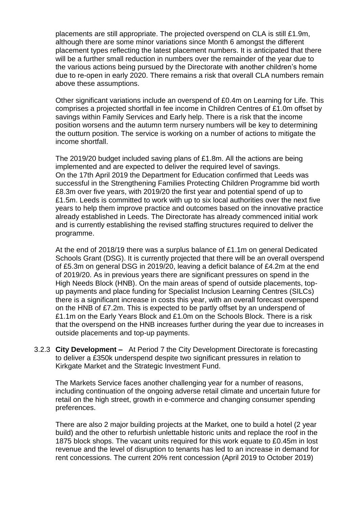placements are still appropriate. The projected overspend on CLA is still £1.9m, although there are some minor variations since Month 6 amongst the different placement types reflecting the latest placement numbers. It is anticipated that there will be a further small reduction in numbers over the remainder of the year due to the various actions being pursued by the Directorate with another children's home due to re-open in early 2020. There remains a risk that overall CLA numbers remain above these assumptions.

Other significant variations include an overspend of £0.4m on Learning for Life. This comprises a projected shortfall in fee income in Children Centres of £1.0m offset by savings within Family Services and Early help. There is a risk that the income position worsens and the autumn term nursery numbers will be key to determining the outturn position. The service is working on a number of actions to mitigate the income shortfall.

The 2019/20 budget included saving plans of £1.8m. All the actions are being implemented and are expected to deliver the required level of savings. On the 17th April 2019 the Department for Education confirmed that Leeds was successful in the Strengthening Families Protecting Children Programme bid worth £8.3m over five years, with 2019/20 the first year and potential spend of up to £1.5m. Leeds is committed to work with up to six local authorities over the next five years to help them improve practice and outcomes based on the innovative practice already established in Leeds. The Directorate has already commenced initial work and is currently establishing the revised staffing structures required to deliver the programme.

At the end of 2018/19 there was a surplus balance of £1.1m on general Dedicated Schools Grant (DSG). It is currently projected that there will be an overall overspend of £5.3m on general DSG in 2019/20, leaving a deficit balance of £4.2m at the end of 2019/20. As in previous years there are significant pressures on spend in the High Needs Block (HNB). On the main areas of spend of outside placements, topup payments and place funding for Specialist Inclusion Learning Centres (SILCs) there is a significant increase in costs this year, with an overall forecast overspend on the HNB of £7.2m. This is expected to be partly offset by an underspend of £1.1m on the Early Years Block and £1.0m on the Schools Block. There is a risk that the overspend on the HNB increases further during the year due to increases in outside placements and top-up payments.

3.2.3 **City Development –** At Period 7 the City Development Directorate is forecasting to deliver a £350k underspend despite two significant pressures in relation to Kirkgate Market and the Strategic Investment Fund.

The Markets Service faces another challenging year for a number of reasons, including continuation of the ongoing adverse retail climate and uncertain future for retail on the high street, growth in e-commerce and changing consumer spending preferences.

There are also 2 major building projects at the Market, one to build a hotel (2 year build) and the other to refurbish unlettable historic units and replace the roof in the 1875 block shops. The vacant units required for this work equate to £0.45m in lost revenue and the level of disruption to tenants has led to an increase in demand for rent concessions. The current 20% rent concession (April 2019 to October 2019)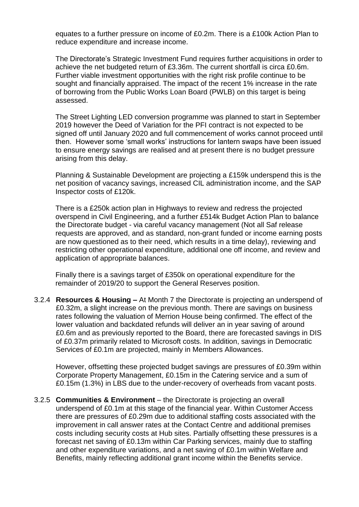equates to a further pressure on income of £0.2m. There is a £100k Action Plan to reduce expenditure and increase income.

The Directorate's Strategic Investment Fund requires further acquisitions in order to achieve the net budgeted return of £3.36m. The current shortfall is circa £0.6m. Further viable investment opportunities with the right risk profile continue to be sought and financially appraised. The impact of the recent 1% increase in the rate of borrowing from the Public Works Loan Board (PWLB) on this target is being assessed.

The Street Lighting LED conversion programme was planned to start in September 2019 however the Deed of Variation for the PFI contract is not expected to be signed off until January 2020 and full commencement of works cannot proceed until then. However some 'small works' instructions for lantern swaps have been issued to ensure energy savings are realised and at present there is no budget pressure arising from this delay.

Planning & Sustainable Development are projecting a £159k underspend this is the net position of vacancy savings, increased CIL administration income, and the SAP Inspector costs of £120k.

There is a £250k action plan in Highways to review and redress the projected overspend in Civil Engineering, and a further £514k Budget Action Plan to balance the Directorate budget - via careful vacancy management (Not all Saf release requests are approved, and as standard, non-grant funded or income earning posts are now questioned as to their need, which results in a time delay), reviewing and restricting other operational expenditure, additional one off income, and review and application of appropriate balances.

Finally there is a savings target of £350k on operational expenditure for the remainder of 2019/20 to support the General Reserves position.

3.2.4 **Resources & Housing –** At Month 7 the Directorate is projecting an underspend of £0.32m, a slight increase on the previous month. There are savings on business rates following the valuation of Merrion House being confirmed. The effect of the lower valuation and backdated refunds will deliver an in year saving of around £0.6m and as previously reported to the Board, there are forecasted savings in DIS of £0.37m primarily related to Microsoft costs. In addition, savings in Democratic Services of £0.1m are projected, mainly in Members Allowances.

However, offsetting these projected budget savings are pressures of £0.39m within Corporate Property Management, £0.15m in the Catering service and a sum of £0.15m (1.3%) in LBS due to the under-recovery of overheads from vacant posts.

3.2.5 **Communities & Environment** – the Directorate is projecting an overall underspend of £0.1m at this stage of the financial year. Within Customer Access there are pressures of £0.29m due to additional staffing costs associated with the improvement in call answer rates at the Contact Centre and additional premises costs including security costs at Hub sites. Partially offsetting these pressures is a forecast net saving of £0.13m within Car Parking services, mainly due to staffing and other expenditure variations, and a net saving of £0.1m within Welfare and Benefits, mainly reflecting additional grant income within the Benefits service.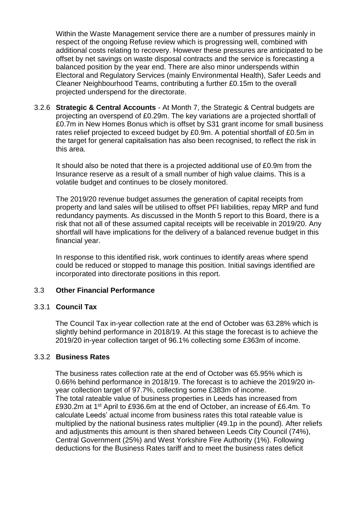Within the Waste Management service there are a number of pressures mainly in respect of the ongoing Refuse review which is progressing well, combined with additional costs relating to recovery. However these pressures are anticipated to be offset by net savings on waste disposal contracts and the service is forecasting a balanced position by the year end. There are also minor underspends within Electoral and Regulatory Services (mainly Environmental Health), Safer Leeds and Cleaner Neighbourhood Teams, contributing a further £0.15m to the overall projected underspend for the directorate.

3.2.6 **Strategic & Central Accounts** - At Month 7, the Strategic & Central budgets are projecting an overspend of £0.29m. The key variations are a projected shortfall of £0.7m in New Homes Bonus which is offset by S31 grant income for small business rates relief projected to exceed budget by £0.9m. A potential shortfall of £0.5m in the target for general capitalisation has also been recognised, to reflect the risk in this area.

It should also be noted that there is a projected additional use of £0.9m from the Insurance reserve as a result of a small number of high value claims. This is a volatile budget and continues to be closely monitored.

The 2019/20 revenue budget assumes the generation of capital receipts from property and land sales will be utilised to offset PFI liabilities, repay MRP and fund redundancy payments. As discussed in the Month 5 report to this Board, there is a risk that not all of these assumed capital receipts will be receivable in 2019/20. Any shortfall will have implications for the delivery of a balanced revenue budget in this financial year.

In response to this identified risk, work continues to identify areas where spend could be reduced or stopped to manage this position. Initial savings identified are incorporated into directorate positions in this report.

#### 3.3 **Other Financial Performance**

#### 3.3.1 **Council Tax**

The Council Tax in-year collection rate at the end of October was 63.28% which is slightly behind performance in 2018/19. At this stage the forecast is to achieve the 2019/20 in-year collection target of 96.1% collecting some £363m of income.

#### 3.3.2 **Business Rates**

The business rates collection rate at the end of October was 65.95% which is 0.66% behind performance in 2018/19. The forecast is to achieve the 2019/20 inyear collection target of 97.7%, collecting some £383m of income. The total rateable value of business properties in Leeds has increased from £930.2m at 1st April to £936.6m at the end of October, an increase of £6.4m. To calculate Leeds' actual income from business rates this total rateable value is multiplied by the national business rates multiplier (49.1p in the pound). After reliefs and adjustments this amount is then shared between Leeds City Council (74%), Central Government (25%) and West Yorkshire Fire Authority (1%). Following deductions for the Business Rates tariff and to meet the business rates deficit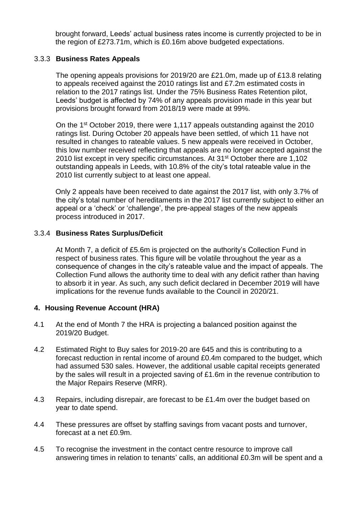brought forward, Leeds' actual business rates income is currently projected to be in the region of £273.71m, which is £0.16m above budgeted expectations.

### 3.3.3 **Business Rates Appeals**

The opening appeals provisions for 2019/20 are £21.0m, made up of £13.8 relating to appeals received against the 2010 ratings list and £7.2m estimated costs in relation to the 2017 ratings list. Under the 75% Business Rates Retention pilot, Leeds' budget is affected by 74% of any appeals provision made in this year but provisions brought forward from 2018/19 were made at 99%.

On the 1st October 2019, there were 1,117 appeals outstanding against the 2010 ratings list. During October 20 appeals have been settled, of which 11 have not resulted in changes to rateable values. 5 new appeals were received in October, this low number received reflecting that appeals are no longer accepted against the 2010 list except in very specific circumstances. At 31<sup>st</sup> October there are 1,102 outstanding appeals in Leeds, with 10.8% of the city's total rateable value in the 2010 list currently subject to at least one appeal.

Only 2 appeals have been received to date against the 2017 list, with only 3.7% of the city's total number of hereditaments in the 2017 list currently subject to either an appeal or a 'check' or 'challenge', the pre-appeal stages of the new appeals process introduced in 2017.

#### 3.3.4 **Business Rates Surplus/Deficit**

At Month 7, a deficit of £5.6m is projected on the authority's Collection Fund in respect of business rates. This figure will be volatile throughout the year as a consequence of changes in the city's rateable value and the impact of appeals. The Collection Fund allows the authority time to deal with any deficit rather than having to absorb it in year. As such, any such deficit declared in December 2019 will have implications for the revenue funds available to the Council in 2020/21.

### **4. Housing Revenue Account (HRA)**

- 4.1 At the end of Month 7 the HRA is projecting a balanced position against the 2019/20 Budget.
- 4.2 Estimated Right to Buy sales for 2019-20 are 645 and this is contributing to a forecast reduction in rental income of around £0.4m compared to the budget, which had assumed 530 sales. However, the additional usable capital receipts generated by the sales will result in a projected saving of £1.6m in the revenue contribution to the Major Repairs Reserve (MRR).
- 4.3 Repairs, including disrepair, are forecast to be £1.4m over the budget based on year to date spend.
- 4.4 These pressures are offset by staffing savings from vacant posts and turnover, forecast at a net £0.9m.
- 4.5 To recognise the investment in the contact centre resource to improve call answering times in relation to tenants' calls, an additional £0.3m will be spent and a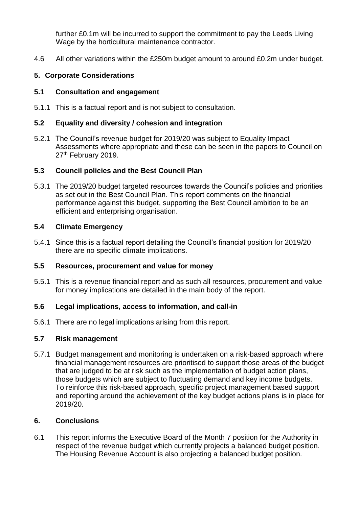further £0.1m will be incurred to support the commitment to pay the Leeds Living Wage by the horticultural maintenance contractor.

4.6 All other variations within the £250m budget amount to around £0.2m under budget.

### **5. Corporate Considerations**

### **5.1 Consultation and engagement**

5.1.1 This is a factual report and is not subject to consultation.

### **5.2 Equality and diversity / cohesion and integration**

5.2.1 The Council's revenue budget for 2019/20 was subject to Equality Impact Assessments where appropriate and these can be seen in the papers to Council on 27<sup>th</sup> February 2019.

### **5.3 Council policies and the Best Council Plan**

5.3.1 The 2019/20 budget targeted resources towards the Council's policies and priorities as set out in the Best Council Plan. This report comments on the financial performance against this budget, supporting the Best Council ambition to be an efficient and enterprising organisation.

### **5.4 Climate Emergency**

5.4.1 Since this is a factual report detailing the Council's financial position for 2019/20 there are no specific climate implications.

### **5.5 Resources, procurement and value for money**

5.5.1 This is a revenue financial report and as such all resources, procurement and value for money implications are detailed in the main body of the report.

### **5.6 Legal implications, access to information, and call-in**

5.6.1 There are no legal implications arising from this report.

### **5.7 Risk management**

5.7.1 Budget management and monitoring is undertaken on a risk-based approach where financial management resources are prioritised to support those areas of the budget that are judged to be at risk such as the implementation of budget action plans, those budgets which are subject to fluctuating demand and key income budgets. To reinforce this risk-based approach, specific project management based support and reporting around the achievement of the key budget actions plans is in place for 2019/20.

### **6. Conclusions**

6.1 This report informs the Executive Board of the Month 7 position for the Authority in respect of the revenue budget which currently projects a balanced budget position. The Housing Revenue Account is also projecting a balanced budget position.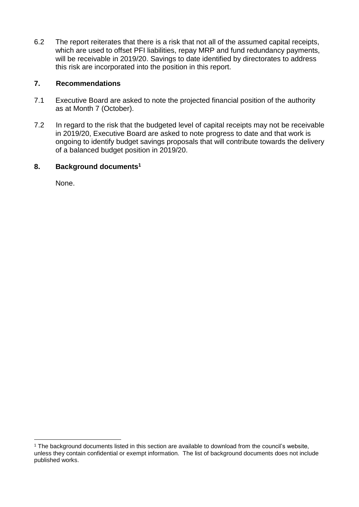6.2 The report reiterates that there is a risk that not all of the assumed capital receipts, which are used to offset PFI liabilities, repay MRP and fund redundancy payments, will be receivable in 2019/20. Savings to date identified by directorates to address this risk are incorporated into the position in this report.

### **7. Recommendations**

- 7.1 Executive Board are asked to note the projected financial position of the authority as at Month 7 (October).
- 7.2 In regard to the risk that the budgeted level of capital receipts may not be receivable in 2019/20, Executive Board are asked to note progress to date and that work is ongoing to identify budget savings proposals that will contribute towards the delivery of a balanced budget position in 2019/20.

### **8. Background documents<sup>1</sup>**

None.

1

<sup>&</sup>lt;sup>1</sup> The background documents listed in this section are available to download from the council's website, unless they contain confidential or exempt information. The list of background documents does not include published works.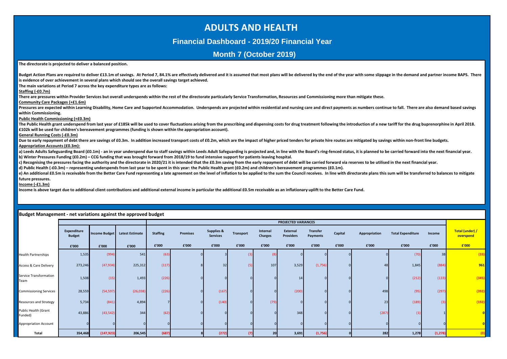## **ADULTS AND HEALTH**

#### **Financial Dashboard - 2019/20 Financial Year**

### **Month 7 (October 2019)**

Budget Action Plans are required to deliver £13.1m of savings. At Period 7, 84.1% are effectively delivered and it is assumed that most plans will be delivered by the end of the year with some slippage in the demand and pa

**The directorate is projected to deliver a balanced position.**

**is evidence of over achievement in several plans which should see the overall savings target achieved.**

| The main variations at Period 7 across the key expenditure types are as follows:<br>Staffing (-£0.7m)                                                                                                                          |                    |                      |                        |                 |                 |                       |                  |                |                     |                 |         |               |                          |        |                 |
|--------------------------------------------------------------------------------------------------------------------------------------------------------------------------------------------------------------------------------|--------------------|----------------------|------------------------|-----------------|-----------------|-----------------------|------------------|----------------|---------------------|-----------------|---------|---------------|--------------------------|--------|-----------------|
| There are pressures within Provider Services but overall underspends within the rest of the directorate particularly Service Transformation, Resources and Commissioning more than mitigate these.                             |                    |                      |                        |                 |                 |                       |                  |                |                     |                 |         |               |                          |        |                 |
| Community Care Packages (+£1.6m)                                                                                                                                                                                               |                    |                      |                        |                 |                 |                       |                  |                |                     |                 |         |               |                          |        |                 |
| Pressures are expected within Learning Disability, Home Care and Supported Accommodation. Underspends are projected within residential and nursing care and direct payments as numbers continue to fall. There are also demand |                    |                      |                        |                 |                 |                       |                  |                |                     |                 |         |               |                          |        |                 |
| within Commissioning.                                                                                                                                                                                                          |                    |                      |                        |                 |                 |                       |                  |                |                     |                 |         |               |                          |        |                 |
| Public Health Commissioning (+£0.3m)                                                                                                                                                                                           |                    |                      |                        |                 |                 |                       |                  |                |                     |                 |         |               |                          |        |                 |
| The Public Health grant underspend from last year of £185k will be used to cover fluctuations arising from the prescribing and dispensing costs for drug treatment following the introduction of a new tariff for the drug bup |                    |                      |                        |                 |                 |                       |                  |                |                     |                 |         |               |                          |        |                 |
| £102k will be used for children's bereavement programmes (funding is shown within the appropriation account).                                                                                                                  |                    |                      |                        |                 |                 |                       |                  |                |                     |                 |         |               |                          |        |                 |
| General Running Costs (-£0.3m)                                                                                                                                                                                                 |                    |                      |                        |                 |                 |                       |                  |                |                     |                 |         |               |                          |        |                 |
| Due to early repayment of debt there are savings of £0.3m. In addition increased transport costs of £0.2m, which are the impact of higher priced tenders for private hire routes are mitigated by savings within non-front lin |                    |                      |                        |                 |                 |                       |                  |                |                     |                 |         |               |                          |        |                 |
| Appropriation Accounts (£0.3m):                                                                                                                                                                                                |                    |                      |                        |                 |                 |                       |                  |                |                     |                 |         |               |                          |        |                 |
| a) Leeds Adults Safeguarding Board (£0.1m) - an in year underspend due to staff savings within Leeds Adult Safeguarding is projected and, in line with the Board's ring-fenced status, it is planned to be carried forward int |                    |                      |                        |                 |                 |                       |                  |                |                     |                 |         |               |                          |        |                 |
| b) Winter Pressures Funding (£0.2m) – CCG funding that was brought forward from 2018/19 to fund intensive support for patients leaving hospital.                                                                               |                    |                      |                        |                 |                 |                       |                  |                |                     |                 |         |               |                          |        |                 |
| c) Recognising the pressures facing the authority and the directorate in 2020/21 it is intended that the £0.3m saving from the early repayment of debt will be carried forward via reserves to be utilised in the next financi |                    |                      |                        |                 |                 |                       |                  |                |                     |                 |         |               |                          |        |                 |
| d) Public Health (-£0.3m) - representing underspends from last year to be spent in this year: the Public Health grant (£0.2m) and children's bereavement programmes (£0.1m).                                                   |                    |                      |                        |                 |                 |                       |                  |                |                     |                 |         |               |                          |        |                 |
| e) An additional £0.5m is receivable from the Better Care Fund representing a late agreement on the level of inflation to be applied to the sum the Council receives. In line with directorate plans this sum will be transfer |                    |                      |                        |                 |                 |                       |                  |                |                     |                 |         |               |                          |        |                 |
| future pressures.<br>Income (-£1.3m)                                                                                                                                                                                           |                    |                      |                        |                 |                 |                       |                  |                |                     |                 |         |               |                          |        |                 |
| Income is above target due to additional client contributions and additional external income in particular the additional £0.5m receivable as an inflationary uplift to the Better Care Fund.                                  |                    |                      |                        |                 |                 |                       |                  |                |                     |                 |         |               |                          |        |                 |
|                                                                                                                                                                                                                                |                    |                      |                        |                 |                 |                       |                  |                |                     |                 |         |               |                          |        |                 |
|                                                                                                                                                                                                                                |                    |                      |                        |                 |                 |                       |                  |                |                     |                 |         |               |                          |        |                 |
|                                                                                                                                                                                                                                |                    |                      |                        |                 |                 |                       |                  |                |                     |                 |         |               |                          |        |                 |
|                                                                                                                                                                                                                                |                    |                      |                        |                 |                 |                       |                  |                |                     |                 |         |               |                          |        |                 |
| Budget Management - net variations against the approved budget                                                                                                                                                                 |                    |                      |                        |                 |                 |                       |                  |                |                     |                 |         |               |                          |        |                 |
|                                                                                                                                                                                                                                |                    |                      |                        |                 |                 |                       |                  |                | PROJECTED VARIANCES |                 |         |               |                          |        |                 |
|                                                                                                                                                                                                                                | <b>Expenditure</b> |                      |                        |                 |                 | <b>Supplies &amp;</b> |                  | Internal       | External            | <b>Transfer</b> |         |               |                          |        | Total (under) / |
|                                                                                                                                                                                                                                | <b>Budget</b>      | <b>Income Budget</b> | <b>Latest Estimate</b> | <b>Staffing</b> | <b>Premises</b> | <b>Services</b>       | <b>Transport</b> | <b>Charges</b> | <b>Providers</b>    | Payments        | Capital | Appropriation | <b>Total Expenditure</b> | Income | overspend       |
|                                                                                                                                                                                                                                |                    |                      |                        |                 |                 |                       |                  |                |                     |                 |         |               |                          |        |                 |
|                                                                                                                                                                                                                                | £'000              | £'000                | £'000                  | £'000           | £'000           | £'000                 | £'000            | £'000          | £'000               | £'000           | £'000   | £'000         | £'000                    | £'000  | £'000           |
| Health Partnerships                                                                                                                                                                                                            | 1,535              | (994)                | 541                    | (63)            |                 |                       | - (3             | (8)            |                     |                 |         |               | (70)                     | 38     | (33)            |
| <b>Access &amp; Care Delivery</b>                                                                                                                                                                                              | 273,246            | (47, 934)            | 225,312                | (117)           |                 | 32                    | (5               | 107            | 3,529               | (1,756)         |         | 48            | 1,845                    | (884)  | 961             |
|                                                                                                                                                                                                                                |                    |                      |                        |                 |                 |                       |                  |                |                     |                 |         |               |                          |        |                 |
| Service Transformation                                                                                                                                                                                                         | 1,508              | (15)                 | 1,493                  | (226)           |                 |                       |                  |                | 14                  |                 |         |               | (212)                    | (133)  | (345)           |
| Team                                                                                                                                                                                                                           |                    |                      |                        |                 |                 |                       |                  |                |                     |                 |         |               |                          |        |                 |
|                                                                                                                                                                                                                                |                    |                      |                        |                 |                 |                       |                  |                |                     |                 |         |               |                          |        |                 |
| Commissioning Services                                                                                                                                                                                                         | 28,559             | (54, 597)            | (26, 038)              | (226)           |                 | (167)                 |                  |                | (200)               |                 |         | 498           | (95)                     | (297)  | (392)           |
|                                                                                                                                                                                                                                |                    |                      |                        |                 |                 |                       |                  |                |                     |                 |         |               |                          |        |                 |
| Resources and Strategy                                                                                                                                                                                                         | 5,734              | (841)                | 4,894                  |                 |                 | (140)                 |                  | (79)           |                     |                 |         | 23            | (189)                    | (3)    | (192)           |
| Public Health (Grant                                                                                                                                                                                                           |                    |                      |                        |                 |                 |                       |                  |                |                     |                 |         |               |                          |        |                 |
| unded)                                                                                                                                                                                                                         | 43,886             | (43, 542)            | 344                    | (62)            |                 |                       |                  |                | 348                 |                 |         | (287)         | (1)                      |        | $\overline{0}$  |
|                                                                                                                                                                                                                                |                    |                      |                        |                 |                 |                       |                  |                |                     |                 |         |               |                          |        |                 |
|                                                                                                                                                                                                                                |                    |                      |                        |                 |                 |                       |                  |                |                     |                 |         |               |                          |        |                 |
| Appropriation Account                                                                                                                                                                                                          |                    |                      |                        |                 |                 |                       |                  |                |                     |                 |         |               |                          |        | $\overline{0}$  |
|                                                                                                                                                                                                                                |                    |                      |                        |                 |                 | (272)                 |                  |                |                     |                 |         |               |                          |        | (0)             |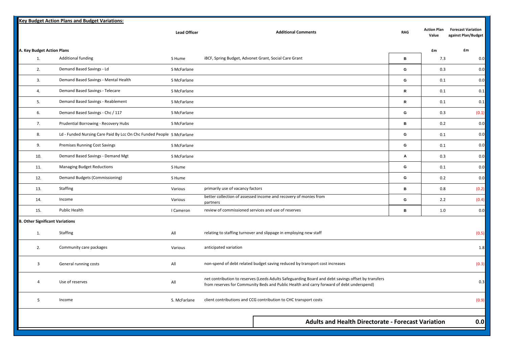| <b>Action Plan</b><br><b>Forecast Variation</b><br><b>Lead Officer</b><br><b>Additional Comments</b><br><b>RAG</b><br>Value<br>A. Key Budget Action Plans<br>£m<br>£m<br>Additional funding<br>iBCF, Spring Budget, Advonet Grant, Social Care Grant<br>В<br>1.<br>S Hume<br>7.3<br>Demand Based Savings - Ld<br>2.<br>G<br>S McFarlane<br>0.3<br>3.<br>Demand Based Savings - Mental Health<br>G<br>S McFarlane<br>0.1<br>Demand Based Savings - Telecare<br>${\mathbf R}$<br>S McFarlane<br>0.1<br>4.<br>Demand Based Savings - Reablement<br>${\mathbf R}$<br>5.<br>S McFarlane<br>0.1<br>Demand Based Savings - Chc / 117<br>G<br>6.<br>S McFarlane<br>0.3<br>Prudential Borrowing - Recovery Hubs<br>В<br>7.<br>S McFarlane<br>0.2<br>Ld - Funded Nursing Care Paid By Lcc On Chc Funded People S McFarlane<br>G<br>8.<br>0.1<br>Premises Running Cost Savings<br>G<br>9.<br>S McFarlane<br>0.1<br>Demand Based Savings - Demand Mgt<br>10.<br>S McFarlane<br>A<br>0.3<br>G<br><b>Managing Budget Reductions</b><br>0.1<br>11.<br>S Hume<br>G<br>0.2<br>12.<br>Demand Budgets (Commissioning)<br>S Hume<br>В<br>Staffing<br>primarily use of vacancy factors<br>0.8<br>13.<br>Various<br>better collection of assessed income and recovery of monies from<br>G<br>Income<br>2.2<br>14.<br>Various<br>partners<br>Public Health<br>review of commissioned services and use of reserves<br>В<br>1.0<br>15.<br>I Cameron<br><b>B. Other Significant Variations</b><br>relating to staffing turnover and slippage in employing new staff<br>Staffing<br>All<br>1.<br>2.<br>Community care packages<br>anticipated variation<br>Various<br>$\overline{3}$<br>non-spend of debt related budget saving reduced by transport cost increases<br>General running costs<br>All<br>net contribution to reserves (Leeds Adults Safeguarding Board and debt savings offset by transfers<br>Use of reserves<br>4<br>All<br>from reserves for Community Beds and Public Health and carry forward of debt underspend)<br>5<br>client contributions and CCG contribution to CHC transport costs<br>Income<br>S. McFarlane<br><b>Adults and Health Directorate - Forecast Variation</b> | <b>Key Budget Action Plans and Budget Variations:</b> |  |  |                     |
|---------------------------------------------------------------------------------------------------------------------------------------------------------------------------------------------------------------------------------------------------------------------------------------------------------------------------------------------------------------------------------------------------------------------------------------------------------------------------------------------------------------------------------------------------------------------------------------------------------------------------------------------------------------------------------------------------------------------------------------------------------------------------------------------------------------------------------------------------------------------------------------------------------------------------------------------------------------------------------------------------------------------------------------------------------------------------------------------------------------------------------------------------------------------------------------------------------------------------------------------------------------------------------------------------------------------------------------------------------------------------------------------------------------------------------------------------------------------------------------------------------------------------------------------------------------------------------------------------------------------------------------------------------------------------------------------------------------------------------------------------------------------------------------------------------------------------------------------------------------------------------------------------------------------------------------------------------------------------------------------------------------------------------------------------------------------------------------------------------------------------------------------------------------------------|-------------------------------------------------------|--|--|---------------------|
|                                                                                                                                                                                                                                                                                                                                                                                                                                                                                                                                                                                                                                                                                                                                                                                                                                                                                                                                                                                                                                                                                                                                                                                                                                                                                                                                                                                                                                                                                                                                                                                                                                                                                                                                                                                                                                                                                                                                                                                                                                                                                                                                                                           |                                                       |  |  | against Plan/Budget |
|                                                                                                                                                                                                                                                                                                                                                                                                                                                                                                                                                                                                                                                                                                                                                                                                                                                                                                                                                                                                                                                                                                                                                                                                                                                                                                                                                                                                                                                                                                                                                                                                                                                                                                                                                                                                                                                                                                                                                                                                                                                                                                                                                                           |                                                       |  |  |                     |
|                                                                                                                                                                                                                                                                                                                                                                                                                                                                                                                                                                                                                                                                                                                                                                                                                                                                                                                                                                                                                                                                                                                                                                                                                                                                                                                                                                                                                                                                                                                                                                                                                                                                                                                                                                                                                                                                                                                                                                                                                                                                                                                                                                           |                                                       |  |  | 0.0                 |
|                                                                                                                                                                                                                                                                                                                                                                                                                                                                                                                                                                                                                                                                                                                                                                                                                                                                                                                                                                                                                                                                                                                                                                                                                                                                                                                                                                                                                                                                                                                                                                                                                                                                                                                                                                                                                                                                                                                                                                                                                                                                                                                                                                           |                                                       |  |  | 0.0                 |
|                                                                                                                                                                                                                                                                                                                                                                                                                                                                                                                                                                                                                                                                                                                                                                                                                                                                                                                                                                                                                                                                                                                                                                                                                                                                                                                                                                                                                                                                                                                                                                                                                                                                                                                                                                                                                                                                                                                                                                                                                                                                                                                                                                           |                                                       |  |  | 0.0                 |
|                                                                                                                                                                                                                                                                                                                                                                                                                                                                                                                                                                                                                                                                                                                                                                                                                                                                                                                                                                                                                                                                                                                                                                                                                                                                                                                                                                                                                                                                                                                                                                                                                                                                                                                                                                                                                                                                                                                                                                                                                                                                                                                                                                           |                                                       |  |  | 0.1                 |
|                                                                                                                                                                                                                                                                                                                                                                                                                                                                                                                                                                                                                                                                                                                                                                                                                                                                                                                                                                                                                                                                                                                                                                                                                                                                                                                                                                                                                                                                                                                                                                                                                                                                                                                                                                                                                                                                                                                                                                                                                                                                                                                                                                           |                                                       |  |  | 0.1                 |
|                                                                                                                                                                                                                                                                                                                                                                                                                                                                                                                                                                                                                                                                                                                                                                                                                                                                                                                                                                                                                                                                                                                                                                                                                                                                                                                                                                                                                                                                                                                                                                                                                                                                                                                                                                                                                                                                                                                                                                                                                                                                                                                                                                           |                                                       |  |  | (0.1)               |
|                                                                                                                                                                                                                                                                                                                                                                                                                                                                                                                                                                                                                                                                                                                                                                                                                                                                                                                                                                                                                                                                                                                                                                                                                                                                                                                                                                                                                                                                                                                                                                                                                                                                                                                                                                                                                                                                                                                                                                                                                                                                                                                                                                           |                                                       |  |  | 0.0                 |
|                                                                                                                                                                                                                                                                                                                                                                                                                                                                                                                                                                                                                                                                                                                                                                                                                                                                                                                                                                                                                                                                                                                                                                                                                                                                                                                                                                                                                                                                                                                                                                                                                                                                                                                                                                                                                                                                                                                                                                                                                                                                                                                                                                           |                                                       |  |  | 0.0                 |
|                                                                                                                                                                                                                                                                                                                                                                                                                                                                                                                                                                                                                                                                                                                                                                                                                                                                                                                                                                                                                                                                                                                                                                                                                                                                                                                                                                                                                                                                                                                                                                                                                                                                                                                                                                                                                                                                                                                                                                                                                                                                                                                                                                           |                                                       |  |  | 0.0                 |
|                                                                                                                                                                                                                                                                                                                                                                                                                                                                                                                                                                                                                                                                                                                                                                                                                                                                                                                                                                                                                                                                                                                                                                                                                                                                                                                                                                                                                                                                                                                                                                                                                                                                                                                                                                                                                                                                                                                                                                                                                                                                                                                                                                           |                                                       |  |  | 0.0                 |
|                                                                                                                                                                                                                                                                                                                                                                                                                                                                                                                                                                                                                                                                                                                                                                                                                                                                                                                                                                                                                                                                                                                                                                                                                                                                                                                                                                                                                                                                                                                                                                                                                                                                                                                                                                                                                                                                                                                                                                                                                                                                                                                                                                           |                                                       |  |  | 0.0                 |
|                                                                                                                                                                                                                                                                                                                                                                                                                                                                                                                                                                                                                                                                                                                                                                                                                                                                                                                                                                                                                                                                                                                                                                                                                                                                                                                                                                                                                                                                                                                                                                                                                                                                                                                                                                                                                                                                                                                                                                                                                                                                                                                                                                           |                                                       |  |  | 0.0                 |
|                                                                                                                                                                                                                                                                                                                                                                                                                                                                                                                                                                                                                                                                                                                                                                                                                                                                                                                                                                                                                                                                                                                                                                                                                                                                                                                                                                                                                                                                                                                                                                                                                                                                                                                                                                                                                                                                                                                                                                                                                                                                                                                                                                           |                                                       |  |  | (0.2)               |
|                                                                                                                                                                                                                                                                                                                                                                                                                                                                                                                                                                                                                                                                                                                                                                                                                                                                                                                                                                                                                                                                                                                                                                                                                                                                                                                                                                                                                                                                                                                                                                                                                                                                                                                                                                                                                                                                                                                                                                                                                                                                                                                                                                           |                                                       |  |  | (0.4)               |
|                                                                                                                                                                                                                                                                                                                                                                                                                                                                                                                                                                                                                                                                                                                                                                                                                                                                                                                                                                                                                                                                                                                                                                                                                                                                                                                                                                                                                                                                                                                                                                                                                                                                                                                                                                                                                                                                                                                                                                                                                                                                                                                                                                           |                                                       |  |  | 0.0                 |
|                                                                                                                                                                                                                                                                                                                                                                                                                                                                                                                                                                                                                                                                                                                                                                                                                                                                                                                                                                                                                                                                                                                                                                                                                                                                                                                                                                                                                                                                                                                                                                                                                                                                                                                                                                                                                                                                                                                                                                                                                                                                                                                                                                           |                                                       |  |  |                     |
|                                                                                                                                                                                                                                                                                                                                                                                                                                                                                                                                                                                                                                                                                                                                                                                                                                                                                                                                                                                                                                                                                                                                                                                                                                                                                                                                                                                                                                                                                                                                                                                                                                                                                                                                                                                                                                                                                                                                                                                                                                                                                                                                                                           |                                                       |  |  | (0.5)               |
|                                                                                                                                                                                                                                                                                                                                                                                                                                                                                                                                                                                                                                                                                                                                                                                                                                                                                                                                                                                                                                                                                                                                                                                                                                                                                                                                                                                                                                                                                                                                                                                                                                                                                                                                                                                                                                                                                                                                                                                                                                                                                                                                                                           |                                                       |  |  | 1.8                 |
|                                                                                                                                                                                                                                                                                                                                                                                                                                                                                                                                                                                                                                                                                                                                                                                                                                                                                                                                                                                                                                                                                                                                                                                                                                                                                                                                                                                                                                                                                                                                                                                                                                                                                                                                                                                                                                                                                                                                                                                                                                                                                                                                                                           |                                                       |  |  | (0.3)               |
|                                                                                                                                                                                                                                                                                                                                                                                                                                                                                                                                                                                                                                                                                                                                                                                                                                                                                                                                                                                                                                                                                                                                                                                                                                                                                                                                                                                                                                                                                                                                                                                                                                                                                                                                                                                                                                                                                                                                                                                                                                                                                                                                                                           |                                                       |  |  | 0.3                 |
|                                                                                                                                                                                                                                                                                                                                                                                                                                                                                                                                                                                                                                                                                                                                                                                                                                                                                                                                                                                                                                                                                                                                                                                                                                                                                                                                                                                                                                                                                                                                                                                                                                                                                                                                                                                                                                                                                                                                                                                                                                                                                                                                                                           |                                                       |  |  | (0.9)               |
|                                                                                                                                                                                                                                                                                                                                                                                                                                                                                                                                                                                                                                                                                                                                                                                                                                                                                                                                                                                                                                                                                                                                                                                                                                                                                                                                                                                                                                                                                                                                                                                                                                                                                                                                                                                                                                                                                                                                                                                                                                                                                                                                                                           |                                                       |  |  | 0.0                 |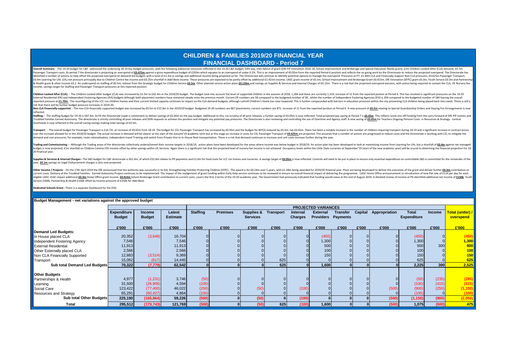#### **CHILDREN & FAMILIES 2019/20 FINANCIAL YEAR FINANCIAL DASHBOARD - Period 7**

Overall Summary - The 19-20 budget for C&F addressed the underlying 18-19 key budget pressures, with the following additional resources reflected in the 19-20 C&F budget; f4m pay, f4m fallout of grant (DFE PiP Innovation 2 Passenger Transport costs. At period 7 the directorate is projecting an overspend of £0.475m againsta gross expenditure budget of £293m which equates to an overspend of under 0.2%. This is an improvement of £0.05m from the identified a number of actions to help offset the projected overspend on demand-led budgets with a total of £2.3m in savings and additional income being proposed so far. The Directorate will continue to identify potential EO.4m Learning for Life (LfL) net pressure principally due to Children Centre fee income and £0.25m shortfall in Adel Beck income. These pressures are expected to be partly offset by additional £1.415m income; UASC grant i & Health grant & other income £0.1. An underspend on staffing of £0.5m, release from the Strategic budget for Children Service **£0.5m**, Other planned service action plans £0.135m and savings on Supplies & Services and Inte income, savings target for Staffing and Passenger Transport pressures at this reported position.

Children Looked After (CLA): - The Children Looked After budget (CLA) was increased by £1.5m to £42.4m in the 2019/20 budget. The budget took into account the level of supported children in the autumn of 2018, 1,284 and th External Residential (ER) and Independent Fostering Agencies (IFA) budgets although both placement numbers have remained steady since the previous month. Current ER numbers are 58 compared to the budgeted number of 58, whi reported pressure at \$1.70m. The reconfigurity of the ICC run children homes and their current limited canacity continues to impact on the CLA demand hudgets: although Luttrell Children's Home has now reponent This is furt risk that there will be further budget pressure increases in 2010-20.

Non Cla Binancially supported: -The non-Cla financially supported budget was increased by 60 Sm to 619 Sm to 619 Om in the 2019/20 budget Budgeted 19-20 numbers are 867 placements: current numbers are 871; increase of 11 f reflected.

Staffing: - The staffing budget for 19-20 is £87.4m. At P4 the Directorate made a comittment to deliver savings of £0.40m on the pay budget. Additional to this, via scrutiny of all post releases, a further saving of £0.05m Troubled Families Earned Autonomy. The directorate is strictly controlling all post releases and DDN requests to achieve this position and mitirate any potential pay pressures. The Directorate is also reviewing and control Overheads is now reflected in the overall saving savings making total savings of £0.5m.

Transport : - The overall budget for Passenger Transport is £14.7m: an increase of £0.65m from 18:19. The budget for CEL Passenger Transport has increased by £0.95m and the budget for CWCA reduced by £0.95m and the budget over the increase allowed for in the 2019/20 budget. The actual increase in demand will be clearer at the start of the autumn'19 academic term but at this stage an increase in costs for CEL Passenger Transport of *ED.625 m* demand and cost pressures, for example: route rationalisation, Independent travel Training and switch from Private Hire to In-House fleet transportation. There is a risk that demand continues to increase and unit costs inc

Trading and Commissioning : - Although the Trading areas of the directorate collectively underachieved their income targets in 2018/19, action plans have been developed for the areas where income was below budget in 2018/1 budget is now projected; £1m shortfall on Children Centres FEE income offset by other savings within LfL Services. Again there is a significant risk that the projected level of nursery fee income is not achieved. Occupancy 20 financial vear

Supplies & Services & Internal Charges:- The S&S budget for C&F directorate is £61.4m, of which £52.8m relates to Pfl payments and £1.0m for food costs for LCC run homes and nurseries. A savings target of £0.05m is now ref year. **£0.1m** savings on Legal Disbursement charges is also now projected.

Other Income / Projects: - On the 17th April 2019 the DfE announced that the authority was successful in its bid, Strengthening Families Protecting Children (SFPC). The award is for f.B.24m over 5 years, with f.1.5.8m bein current costs. Delivery of the Troubled Families - Earned Autonomy Project continues to be implemented. The impact of the realignment of grant funding within Early Help service continues to be reviewed to ensure no overall eligible UASC child; impact additional ED.3m Home Office grant income. ED.415m School Brokerage Grant contribution to current costs; covers the first 2 terms of the 19-20 academic year, The Government had previously indica Service £300k, Partnership & Health £100k offset by income pressure of £250k for Adel Beck.

**Dedicated Schools Grant -** There is a separate Dashboard for the DSG

#### **Budget Management - net variations against the approved budget**

|                               |                    |               |                 |                 |                 |                 |           |                | <b>PROJECTED VARIANCES</b> |                           |         |               |              |        |                 |
|-------------------------------|--------------------|---------------|-----------------|-----------------|-----------------|-----------------|-----------|----------------|----------------------------|---------------------------|---------|---------------|--------------|--------|-----------------|
|                               | <b>Expenditure</b> | Income        | Latest          | <b>Staffing</b> | <b>Premises</b> | Supplies &      | Transport | Internal       | <b>External</b>            | <b>Transfer</b>           | Capital | Appropriation | <b>Total</b> | Income | Total (under) / |
|                               | <b>Budget</b>      | <b>Budget</b> | <b>Estimate</b> |                 |                 | <b>Services</b> |           | <b>Charges</b> |                            | <b>Providers Payments</b> |         |               | Expenditure  |        | overspend       |
|                               |                    |               |                 |                 |                 |                 |           |                |                            |                           |         |               |              |        |                 |
|                               | £'000              | £'000         | £'000           | £'000           | £'000           | £'000           | £'000     | £'000          | £'000                      | £'000                     | £'000   | £'000         | £'000        | £'000  | £'000           |
| <b>Demand Led Budgets:</b>    |                    |               |                 |                 |                 |                 |           |                |                            |                           |         |               |              |        |                 |
| n House placed CLA            | 20,352             | (3,648)       | 16,704          |                 |                 |                 |           |                | (450)                      |                           |         |               | (450)        |        | (450)           |
| Independent Fostering Agency  | 7,546              |               | 7,546           |                 |                 |                 |           |                | 1,300                      |                           |         |               | 1,300        |        | 1,300           |
| <b>External Residential</b>   | 11,913             |               | 11,913          |                 |                 |                 |           |                | 500                        |                           |         |               | 500          | 300    | 800             |
| Other Externally placed CLA   | 2,566              |               | 2,566           |                 |                 |                 |           |                | 100                        |                           |         |               | 100          |        | 100             |
| Non CLA Financially Supported | 12,883             | (3,514)       | 9,369           |                 |                 |                 |           |                | 150                        |                           |         |               | 150          |        | 150             |
| Transport                     | 15,062             | (617)         | 14,445          |                 |                 |                 | 625       |                |                            |                           |         |               | 625          |        | 625             |
| Sub total Demand Led Budgets  | 70,322             | (7, 779)      | 62,542          |                 |                 |                 | 625       |                | 1,600                      |                           |         |               | 2,225        | 300    | 2,525           |
|                               |                    |               |                 |                 |                 |                 |           |                |                            |                           |         |               |              |        |                 |
| <b>Other Budgets</b>          |                    |               |                 |                 |                 |                 |           |                |                            |                           |         |               |              |        |                 |
| Partnerships & Health         | 4,977              | (1, 231)      | 3,746           | (50)            |                 |                 |           |                |                            |                           |         |               | (50)         | (235)  | (285)           |
| Learning                      | 31,500             | (26, 906)     | 4,594           | (100)           |                 |                 |           |                |                            |                           |         |               | (100)        | (415)  | (515)           |
| Social Care                   | 123,422            | (77, 400)     | 46,022          | (250)           |                 | (50)            |           | (100)          |                            |                           |         | (500)         | (900)        | (250)  | (1, 150)        |
| Resources and Strategy        | 65,291             | (60, 427)     | 4,864           | (100)           |                 |                 |           |                |                            |                           |         |               | (100)        |        | (100)           |
| Sub total Other Budgets       | 225,190            | (165, 964)    | 59,226          | (500)           |                 | (50)            |           | (100)          |                            |                           |         | (500)         | (1, 150)     | (900)  | (2,050)         |
| <b>Total</b>                  | 295,512            | (173, 743)    | 121,769         | (500)           |                 | (50)            | 625       | (100)          | 1,600                      |                           |         | (500)         | 1,075        | (600)  | 475             |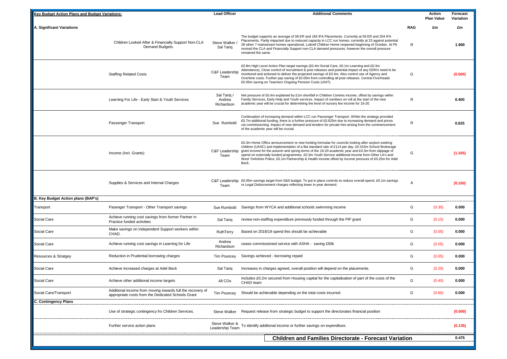| <b>Key Budget Action Plans and Budget Variations:</b> |                                                                                                                  | <b>Lead Officer</b>                 | <b>Additional Comments</b>                                                                                                                                                                                                                                                                                                                                                                                                                                                                                                           |            | Action<br><b>Plan Value</b> | Forecast<br>Variation |
|-------------------------------------------------------|------------------------------------------------------------------------------------------------------------------|-------------------------------------|--------------------------------------------------------------------------------------------------------------------------------------------------------------------------------------------------------------------------------------------------------------------------------------------------------------------------------------------------------------------------------------------------------------------------------------------------------------------------------------------------------------------------------------|------------|-----------------------------|-----------------------|
| A. Significant Variations                             |                                                                                                                  |                                     |                                                                                                                                                                                                                                                                                                                                                                                                                                                                                                                                      | <b>RAG</b> | £m                          | £m                    |
|                                                       | Children Looked After & Financially Support Non-CLA<br>Demand Budgets.                                           | Steve Walker<br>Sal Tariq           | The budget supports an average of 58 ER and 184 IFA Placements. Currently at 58 ER and 204 IFA<br>Placements. Partly impacted due to reduced capacity in LCC run homes; currently at 23 against potential<br>28 when 7 mainstream homes operational. Luttrell Children Home reopened beginning of October. At P6<br>revised the CLA and Financially Support non-CLA demand pressures; however the overall pressure<br>remained the same.                                                                                             | R          |                             | 1.900                 |
|                                                       | <b>Staffing Related Costs</b>                                                                                    | C&F Leadership<br>Team              | £0.8m High Level Action Plan target savings (£0.4m Social Care, £0.1m Learning and £0.3m<br>Attendance), Close control of recruitment & post releases and potential impact of any DDN's need to be<br>monitored and actioned to deliver the projected savings of £0.4m. Also control use of Agency and<br>Overtime costs. Further pay saving of £0.05m from controlling all post releases. Central Overheads<br>£0.05m saving on Teachers Ongoing Pension Costs (v047).                                                              | G          |                             | (0.500)               |
|                                                       | Learning For Life - Early Start & Youth Services                                                                 | Sal Tariq /<br>Andrea<br>Richardson | Net pressure of £0.4m explained by £1m shortfall in Children Centres income, offset by savings within<br>Family Services, Early Help and Youth services. Impact of numbers on roll at the start of the new<br>academic year will be crucial for determining the level of nursery fee income for 19-20.                                                                                                                                                                                                                               | R          |                             | 0.400                 |
|                                                       | Passenger Transport                                                                                              | Sue Rumbold                         | Continuation of increasing demand within LCC run Passenger Transport. Whilst the strategy provided<br>£0.7m additional funding, there is a further pressure of £0.625m due to increasing demand and prices<br>via commissioning. Impact of new demand and tenders for private hire arising from the commencement<br>of the academic year will be crucial.                                                                                                                                                                            | R          |                             | 0.625                 |
|                                                       | Income (Incl. Grants)                                                                                            | C&F Leadership<br>Team              | £0.3m Home Office announcement re new funding formulae for councils looking after asylum seeking<br>children (UASC) and implementation of a flat standard rate of £114 per day. £0.415m School Brokerage<br>grant income for the autumn and spring terms of the 19-20 academic year and £0.3m from slippage of<br>spend on externally funded programmes. £0.3m Youth Service additional income from Other LA's and<br>West Yorkshire Police, £0.1m Partnership & Health income offset by income pressure of £0.25m for Adel<br>Beck. | G          |                             | (1.165)               |
|                                                       | Supplies & Services and Internal Charges                                                                         | Team                                | C&F Leadership £0.05m savings target from S&S budget. To put in place controls to reduce overall spend. £0.1m savings<br>re Legal Disbursement charges reflecting lower in-year demand.                                                                                                                                                                                                                                                                                                                                              | Α          |                             | (0.150)               |
| B. Key Budget Action plans (BAP's)                    |                                                                                                                  |                                     |                                                                                                                                                                                                                                                                                                                                                                                                                                                                                                                                      |            |                             |                       |
| Transport                                             | Pasenger Transport - Other Transport savings                                                                     | Sue Rumbold                         | Savings from WYCA and additional schools swimming income                                                                                                                                                                                                                                                                                                                                                                                                                                                                             | G          | (0.30)                      | 0.000                 |
| Social Care                                           | Achieve running cost savings from former Partner in<br>Practice funded activities                                | Sal Tariq                           | review non-staffing expenditure previously funded through the PiP grant                                                                                                                                                                                                                                                                                                                                                                                                                                                              | G          | (0.15)                      | 0.000                 |
| Social Care                                           | Make savings on Independent Support workers within<br>CHAD.                                                      | RuthTerry                           | Based on 2018/19 spend this should be achievable                                                                                                                                                                                                                                                                                                                                                                                                                                                                                     | G          | (0.05)                      | 0.000                 |
| Social Care                                           | Achieve running cost savings in Learning for Life                                                                | Andrea<br>Richardson                | cease commissioned service with ASHA - saving £50k                                                                                                                                                                                                                                                                                                                                                                                                                                                                                   | G          | (0.05)                      | 0.000                 |
| Resources & Stratgey                                  | Reduction in Prudential borrowing charges                                                                        | <b>Tim Pouncey</b>                  | Savings achieved - borrowing repaid                                                                                                                                                                                                                                                                                                                                                                                                                                                                                                  | G          | (0.05)                      | 0.000                 |
| Social Care                                           | Achieve increased charges at Adel Beck                                                                           | Sal Tariq                           | Increases in charges agreed, overall position will depend on the placements.                                                                                                                                                                                                                                                                                                                                                                                                                                                         | G          | (0.20)                      | 0.000                 |
| Social Care                                           | Achieve other additional income targets                                                                          | All COs                             | Includes £0.2m secured from Housing capital for the capitalisation of part of the costs of the<br>CHAD team                                                                                                                                                                                                                                                                                                                                                                                                                          | G          | (0.40)                      | 0.000                 |
| Social Care/Transport                                 | Additional income from moving towards full the recovery of<br>appropriate costs from the Dedicated Schools Grant | Tim Pouncey                         | Should be achievable depending on the total costs incurred                                                                                                                                                                                                                                                                                                                                                                                                                                                                           | G          | (0.60)                      | 0.000                 |
| C. Contingency Plans                                  |                                                                                                                  |                                     |                                                                                                                                                                                                                                                                                                                                                                                                                                                                                                                                      |            |                             |                       |
|                                                       | Use of strategic contingency fro Children Services.                                                              | Steve Walker                        | Request release from strategic budget to support the directorates financial position                                                                                                                                                                                                                                                                                                                                                                                                                                                 |            |                             | (0.500)               |
|                                                       | Further service action plans                                                                                     |                                     | Steve Walker & To identify additional income or further savings on expenditure.<br>Leadership Team                                                                                                                                                                                                                                                                                                                                                                                                                                   |            |                             | (0.135)               |
|                                                       |                                                                                                                  |                                     | <b>Children and Families Directorate - Forecast Variation</b>                                                                                                                                                                                                                                                                                                                                                                                                                                                                        |            |                             | 0.475                 |
|                                                       |                                                                                                                  |                                     |                                                                                                                                                                                                                                                                                                                                                                                                                                                                                                                                      |            |                             |                       |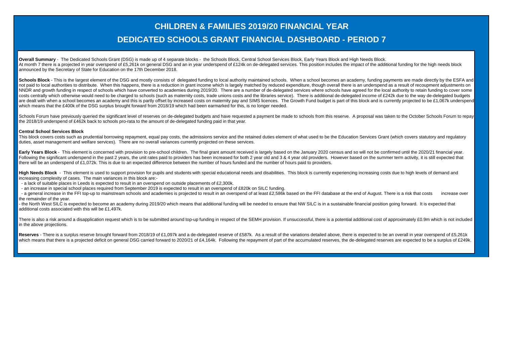## **CHILDREN & FAMILIES 2019/20 FINANCIAL YEAR DEDICATED SCHOOLS GRANT FINANCIAL DASHBOARD - PERIOD 7**

**Overall Summary** - The Dedicated Schools Grant (DSG) is made up of 4 separate blocks - the Schools Block, Central School Services Block, Early Years Block and High Needs Block. At month 7 there is a projected in year overspend of £5,261k on general DSG and an in year underspend of £124k on de-delegated services. This position includes the impact of the additional funding for the high needs block announced by the Secretary of State for Education on the 17th December 2018.

Schools Block - This is the largest element of the DSG and mostly consists of delegated funding to local authority maintained schools. When a school becomes an academy, funding payments are made directly by the ESFA and not paid to local authorities to distribute. When this happens, there is a reduction in grant income which is largely matched by reduced expenditure, though overall there is an underspend as a result of recoupment adjustme NNDR and growth funding in respect of schools which have converted to academies during 2019/20. There are a number of de-delegated services where schools have agreed for the local authority to retain funding to cover some costs centrally which otherwise would need to be charged to schools (such as maternity costs, trade unions costs and the libraries service). There is additional de-delegated income of £242k due to the way de-delegated budg are dealt with when a school becomes an academy and this is partly offset by increased costs on maternity pay and SIMS licences. The Growth Fund budget is part of this block and is currently projected to be £1.067k undersp which means that the £400k of the DSG surplus brought forward from 2018/19 which had been earmarked for this, is no longer needed.

Schools Forum have previously queried the significant level of reserves on de-delegated budgets and have requested a payment be made to schools from this reserve. A proposal was taken to the October Schools Forum to repay the 2018/19 underspend of £462k back to schools pro-rata to the amount of de-delegated funding paid in that year.

#### **Central School Services Block**

This block covers costs such as prudential borrowing repayment, equal pay costs, the admissions service and the retained duties element of what used to be the Education Services Grant (which covers statutory and regulatory duties, asset management and welfare services). There are no overall variances currently projected on these services.

Early Years Block - This element is concerned with provision to pre-school children. The final grant amount received is largely based on the January 2020 census and so will not be confirmed until the 2020/21 financial year Following the significant underspend in the past 2 years, the unit rates paid to providers has been increased for both 2 year old and 3 & 4 year old providers. However based on the summer term activity, it is still expecte there will be an underspend of £1,072k. This is due to an expected difference between the number of hours funded and the number of hours paid to providers.

High Needs Block - This element is used to support provision for pupils and students with special educational needs and disabilities. This block is currently experiencing increasing costs due to high levels of demand and increasing complexity of cases. The main variances in this block are:-

- a lack of suitable places in Leeds is expected to result in an overspend on outside placements of £2,300k.

- an increase in special school places required from September 2019 is expected to result in an overspend of £820k on SILC funding.

- a general increase in the FFI top-up to mainstream schools and academies is projected to result in an overspend of at least £2,586k based on the FFI database at the end of August. There is a risk that costs increase over the remainder of the year.

- the North West SILC is expected to become an academy during 2019/20 which means that additional funding will be needed to ensure that NW SILC is in a sustainable financial position going forward. It is expected that additional costs associated with this will be £1,497k.

There is also a risk around a disapplication request which is to be submitted around top-up funding in respect of the SEMH provision. If unsuccessful, there is a potential additional cost of approximately £0.9m which is no in the above projections.

Reserves - There is a surplus reserve brought forward from 2018/19 of £1,097k and a de-delegated reserve of £587k. As a result of the variations detailed above, there is expected to be an overall in year overspend of £5,26 which means that there is a projected deficit on general DSG carried forward to 2020/21 of £4.164k. Following the repayment of part of the accumulated reserves, the de-delegated reserves are expected to be a surplus of £24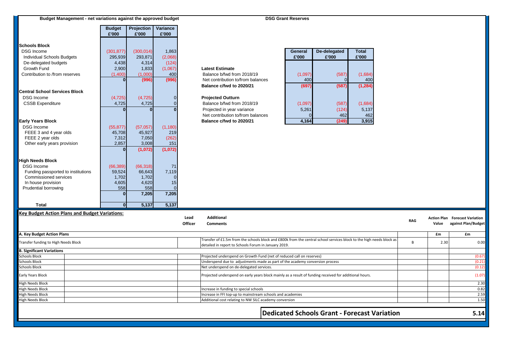| Budget Management - net variations against the approved budget |               |                                                                                                        |                |                                                                                                                                                                              | <b>DSG Grant Reserves</b> |              |                                              |            |       |                                                              |
|----------------------------------------------------------------|---------------|--------------------------------------------------------------------------------------------------------|----------------|------------------------------------------------------------------------------------------------------------------------------------------------------------------------------|---------------------------|--------------|----------------------------------------------|------------|-------|--------------------------------------------------------------|
|                                                                | <b>Budget</b> | Projection                                                                                             | Variance       |                                                                                                                                                                              |                           |              |                                              |            |       |                                                              |
|                                                                | £'000         | £'000                                                                                                  | £'000          |                                                                                                                                                                              |                           |              |                                              |            |       |                                                              |
| <b>Schools Block</b>                                           |               |                                                                                                        |                |                                                                                                                                                                              |                           |              |                                              |            |       |                                                              |
| <b>DSG</b> Income                                              | (301, 877)    | (300, 014)                                                                                             | 1,863          |                                                                                                                                                                              | General                   | De-delegated | <b>Total</b>                                 |            |       |                                                              |
| Individual Schools Budgets                                     | 295,939       | 293,871                                                                                                | (2,068)        |                                                                                                                                                                              | £'000                     | £'000        | £'000                                        |            |       |                                                              |
| De-delegated budgets                                           | 4,438         | 4,314                                                                                                  | (124)          |                                                                                                                                                                              |                           |              |                                              |            |       |                                                              |
| Growth Fund                                                    | 2,900         | 1,833                                                                                                  | (1,067)        | <b>Latest Estimate</b>                                                                                                                                                       |                           |              |                                              |            |       |                                                              |
| Contribution to /from reserves                                 | (1,400)       | (1,000)                                                                                                | 400            | Balance b/fwd from 2018/19                                                                                                                                                   | (1,097)                   | (587)        | (1,684)                                      |            |       |                                                              |
|                                                                | $\mathbf{0}$  | (996)                                                                                                  | (996)          | Net contribution to/from balances                                                                                                                                            | 400                       | $\Omega$     | 400                                          |            |       |                                                              |
|                                                                |               |                                                                                                        |                | Balance c/fwd to 2020/21                                                                                                                                                     | (697)                     | (587)        | (1, 284)                                     |            |       |                                                              |
| <b>Central School Services Block</b>                           |               |                                                                                                        |                |                                                                                                                                                                              |                           |              |                                              |            |       |                                                              |
| <b>DSG Income</b>                                              | (4, 725)      | (4, 725)                                                                                               |                | <b>Projected Outturn</b>                                                                                                                                                     |                           |              |                                              |            |       |                                                              |
| <b>CSSB Expenditure</b>                                        | 4,725         | 4,725                                                                                                  |                | Balance b/fwd from 2018/19                                                                                                                                                   | (1,097)                   | (587)        | (1,684)                                      |            |       |                                                              |
|                                                                | $\bf{0}$      | $\Omega$                                                                                               |                | Projected in year variance                                                                                                                                                   | 5,261                     | (124)        | 5,137                                        |            |       |                                                              |
|                                                                |               |                                                                                                        |                | Net contribution to/from balances                                                                                                                                            |                           | 462          | 462                                          |            |       |                                                              |
| <b>Early Years Block</b>                                       |               |                                                                                                        |                | Balance c/fwd to 2020/21                                                                                                                                                     | 4,164                     | (249)        | 3,915                                        |            |       |                                                              |
| <b>DSG</b> Income                                              | (55, 877)     | (57,057)                                                                                               | (1, 180)       |                                                                                                                                                                              |                           |              |                                              |            |       |                                                              |
| FEEE 3 and 4 year olds                                         | 45,708        | 45,927                                                                                                 | 219            |                                                                                                                                                                              |                           |              |                                              |            |       |                                                              |
| FEEE 2 year olds                                               | 7,312         | 7,050                                                                                                  | (262)          |                                                                                                                                                                              |                           |              |                                              |            |       |                                                              |
| Other early years provision                                    | 2,857         | 3,008                                                                                                  | 151            |                                                                                                                                                                              |                           |              |                                              |            |       |                                                              |
|                                                                | $\mathbf{0}$  | (1,072)                                                                                                | (1,072)        |                                                                                                                                                                              |                           |              |                                              |            |       |                                                              |
|                                                                |               |                                                                                                        |                |                                                                                                                                                                              |                           |              |                                              |            |       |                                                              |
| <b>High Needs Block</b>                                        |               |                                                                                                        |                |                                                                                                                                                                              |                           |              |                                              |            |       |                                                              |
| <b>DSG</b> Income                                              | (66, 389)     | (66, 318)                                                                                              | 71             |                                                                                                                                                                              |                           |              |                                              |            |       |                                                              |
| Funding passported to institutions                             | 59,524        | 66,643                                                                                                 | 7,119          |                                                                                                                                                                              |                           |              |                                              |            |       |                                                              |
| Commissioned services                                          | 1,702         | 1,702                                                                                                  |                |                                                                                                                                                                              |                           |              |                                              |            |       |                                                              |
| In house provision<br>Prudential borrowing                     | 4,605<br>558  | 4,620<br>558                                                                                           | 15<br>$\Omega$ |                                                                                                                                                                              |                           |              |                                              |            |       |                                                              |
|                                                                | $\bf{0}$      | 7,205                                                                                                  | 7,205          |                                                                                                                                                                              |                           |              |                                              |            |       |                                                              |
|                                                                |               |                                                                                                        |                |                                                                                                                                                                              |                           |              |                                              |            |       |                                                              |
| <b>Total</b>                                                   | $\mathbf{0}$  | 5,137                                                                                                  | 5,137          |                                                                                                                                                                              |                           |              |                                              |            |       |                                                              |
| <b>Key Budget Action Plans and Budget Variations:</b>          |               |                                                                                                        |                |                                                                                                                                                                              |                           |              |                                              |            |       |                                                              |
|                                                                |               |                                                                                                        |                | Lead<br><b>Additional</b>                                                                                                                                                    |                           |              |                                              | <b>RAG</b> | Value | <b>Action Plan Forecast Variation</b><br>against Plan/Budget |
|                                                                |               |                                                                                                        |                | Officer<br><b>Comments</b>                                                                                                                                                   |                           |              |                                              |            |       |                                                              |
| A. Key Budget Action Plans                                     |               |                                                                                                        |                |                                                                                                                                                                              |                           |              |                                              |            | £m    | £m                                                           |
| Transfer funding to High Needs Block                           |               |                                                                                                        |                | Transfer of £1.5m from the schools block and £800k from the central school services block to the high needs block as<br>detailed in report to Schools Forum in January 2019. |                           |              |                                              | B          | 2.30  | 0.00                                                         |
| <b>B. Significant Variations</b>                               |               |                                                                                                        |                |                                                                                                                                                                              |                           |              |                                              |            |       |                                                              |
| <b>Schools Block</b>                                           |               |                                                                                                        |                | Projected underspend on Growth Fund (net of reduced call on reserves)                                                                                                        |                           |              |                                              |            |       | (0.67)                                                       |
| <b>Schools Block</b>                                           |               |                                                                                                        |                | Underspend due to adjustments made as part of the academy conversion process                                                                                                 |                           |              |                                              |            |       | (0.21)                                                       |
| <b>Schools Block</b>                                           |               |                                                                                                        |                | Net underspend on de-delegated services.                                                                                                                                     |                           |              |                                              |            |       | (0.12)                                                       |
| Early Years Block                                              |               | Projected underspend on early years block mainly as a result of funding received for additional hours. |                |                                                                                                                                                                              | (1.07)                    |              |                                              |            |       |                                                              |
| <b>High Needs Block</b>                                        |               |                                                                                                        |                |                                                                                                                                                                              |                           |              |                                              |            |       | 2.30                                                         |
| <b>High Needs Block</b>                                        |               |                                                                                                        |                | Increase in funding to special schools                                                                                                                                       |                           |              |                                              |            |       | 0.82                                                         |
| <b>High Needs Block</b>                                        |               |                                                                                                        |                | Increase in FFI top-up to mainstream schools and academies                                                                                                                   |                           |              |                                              |            |       | 2.59                                                         |
| <b>High Needs Block</b>                                        |               |                                                                                                        |                | Additional cost relating to NW SILC academy conversion                                                                                                                       |                           |              |                                              |            |       | 1.50                                                         |
|                                                                |               |                                                                                                        |                |                                                                                                                                                                              |                           |              | Dedicated Schools Grant - Forecast Variation |            |       | 5.14                                                         |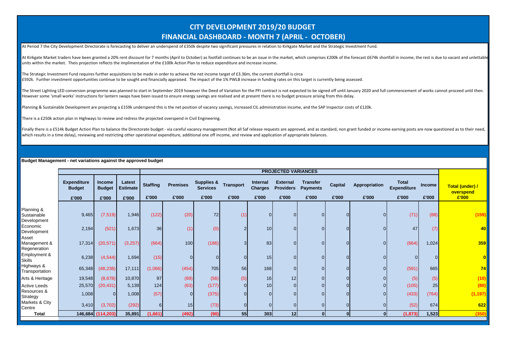### **CITY DEVELOPMENT 2019/20 BUDGET FINANCIAL DASHBOARD - MONTH 7 (APRIL - OCTOBER)**

At Period 7 the City Development Directorate is forecasting to deliver an underspend of £350k despite two significant pressures in relation to Kirkgate Market and the Strategic Investment Fund.

At Kirkgate Market traders have been granted a 20% rent discount for 7 months (April to October) as footfall continues to be an issue in the market, which comprises £200k of the forecast £674k shortfall in income, the rest units within the market. Theis projection reflects the implimentation of the £100k Action Plan to reduce expenditure and increase income.

The Strategic Investment Fund requires further acquisitions to be made in order to achieve the net income target of £3.36m, the current shortfall is circa £592k. Further investment opportunities continue to be sought and financially appraised. The impact of the 1% PWLB increase in funding rates on this target is currently being assessed.

The Street Lighting LED conversion programme was planned to start in September 2019 however the Deed of Variation for the PFI contract is not expected to be signed off until January 2020 and full commencement of works cann However some 'small works' instructions for lantern swaps have been issued to ensure energy savings are realised and at present there is no budget pressure arising from this delay.

Planning & Sustainable Development are projecting a £159k underspend this is the net position of vacancy savings, increased CIL administration income, and the SAP Inspector costs of £120k.

There is a £250k action plan in Highways to review and redress the projected overspend in Civil Engineering.

Finally there is a £514k Budget Action Plan to balance the Directorate budget - via careful vacancy management (Not all Saf release requests are approved, and as standard, non grant funded or income earning posts are now q which results in a time delay), reviewing and restricting other operational expenditure, additional one off income, and review and application of appropriate balances.

#### **Budget Management - net variations against the approved budget**

|                                          |                                              |                                         |                                    |                          |                          |                                                   |                           |                                            | <b>PROJECTED VARIANCES</b>                   |                                             |                         |                        |                                      |                        |                                       |
|------------------------------------------|----------------------------------------------|-----------------------------------------|------------------------------------|--------------------------|--------------------------|---------------------------------------------------|---------------------------|--------------------------------------------|----------------------------------------------|---------------------------------------------|-------------------------|------------------------|--------------------------------------|------------------------|---------------------------------------|
|                                          | <b>Expenditure</b><br><b>Budget</b><br>£'000 | <b>Income</b><br><b>Budget</b><br>£'000 | Latest<br><b>Estimate</b><br>£'000 | <b>Staffing</b><br>£'000 | <b>Premises</b><br>£'000 | <b>Supplies &amp;</b><br><b>Services</b><br>£'000 | <b>Transport</b><br>£'000 | <b>Internal</b><br><b>Charges</b><br>£'000 | <b>External</b><br><b>Providers</b><br>£'000 | <b>Transfer</b><br><b>Payments</b><br>£'000 | <b>Capital</b><br>£'000 | Appropriation<br>£'000 | Total<br><b>Expenditure</b><br>£'000 | <b>Income</b><br>£'000 | Total (under) /<br>overspend<br>£'000 |
|                                          |                                              |                                         |                                    |                          |                          |                                                   |                           |                                            |                                              |                                             |                         |                        |                                      |                        |                                       |
| Planning &<br>Sustainable<br>Development | 9,465                                        | (7, 519)                                | 1,946                              | (122)                    | (20)                     | 72                                                | (1)                       |                                            | $\overline{0}$                               | $\overline{0}$                              |                         |                        | (71)                                 | (88)                   | (159)                                 |
| Economic<br>Development                  | 2,194                                        | (521)                                   | 1,673                              | 36                       | (1)                      | (0)                                               | $\mathcal{P}$             | 10                                         | $\overline{0}$                               | $\overline{0}$                              |                         |                        | 47                                   | (7)                    | 40                                    |
| Asset<br>Management &<br>Regeneration    | 17,314                                       | (20, 571)                               | (3,257)                            | (664)                    | 100                      | (186)                                             | 3                         | 83                                         | $\overline{0}$                               | $\overline{0}$                              |                         |                        | (664)                                | 1,024                  | 359                                   |
| Employment &<br><b>Skills</b>            | 6,238                                        | (4, 544)                                | 1,694                              | (15)                     |                          | $\Omega$                                          |                           | 15                                         | $\overline{0}$                               | $\overline{0}$                              |                         |                        | 0                                    | $\Omega$               |                                       |
| Highways &<br>Transportation             | 65,348                                       | (48, 236)                               | 17,111                             | (1,066)                  | (454)                    | 705                                               | 56                        | 168                                        | $\overline{0}$                               | $\overline{0}$                              |                         |                        | (591)                                | 665                    | 74                                    |
| Arts & Heritage                          | 19,548                                       | (8,678)                                 | 10,870                             | 97                       | (69)                     | (56)                                              | (5)                       | 16                                         | 12                                           | $\overline{0}$                              |                         |                        | (5)                                  | (5)                    | (10)                                  |
| <b>Active Leeds</b>                      | 25,570                                       | (20, 431)                               | 5,139                              | 124                      | (63)                     | (177)                                             | $\Omega$                  | 10 <sup>1</sup>                            | $\overline{0}$                               | $\overline{0}$                              |                         |                        | (105)                                | 25                     | (80)                                  |
| Resources &<br>Strategy                  | 1,008                                        | $\overline{0}$                          | 1,008                              | (57)                     | 0                        | (375)                                             |                           |                                            | $\overline{0}$                               | $\overline{0}$                              |                         |                        | (433)                                | (764)                  | (1, 197)                              |
| Markets & City<br>Centre                 | 3,410                                        | (3,702)                                 | (292)                              | 6 <sup>1</sup>           | 15                       | (73)                                              | $\Omega$                  |                                            | $\overline{0}$                               | $\overline{0}$                              |                         |                        | (52)                                 | 674                    | 622                                   |
| <b>Total</b>                             |                                              | 146,684 (114,203)                       | 35,891                             | (1,661)                  | (492)                    | (90)                                              | 55                        | 303                                        | 12 <sup>1</sup>                              | $\mathbf{0}$                                |                         | $\Omega$               | (1, 873)                             | 1,523                  | (350)                                 |
|                                          |                                              |                                         |                                    |                          |                          |                                                   |                           |                                            |                                              |                                             |                         |                        |                                      |                        |                                       |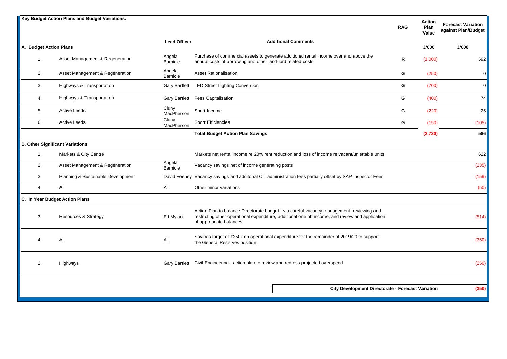|                        | <b>Key Budget Action Plans and Budget Variations:</b> |                     |                                                                                                                                                                                                                           | <b>RAG</b> | <b>Action</b><br>Plan<br>Value | <b>Forecast Variation</b><br>against Plan/Budget |
|------------------------|-------------------------------------------------------|---------------------|---------------------------------------------------------------------------------------------------------------------------------------------------------------------------------------------------------------------------|------------|--------------------------------|--------------------------------------------------|
| A. Budget Action Plans |                                                       | <b>Lead Officer</b> | <b>Additional Comments</b>                                                                                                                                                                                                |            | £'000                          | £'000                                            |
| 1.                     | Asset Management & Regeneration                       | Angela<br>Barnicle  | Purchase of commercial assets to generate additional rental income over and above the<br>annual costs of borrowing and other land-lord related costs                                                                      | R          | (1,000)                        | 592                                              |
| 2.                     | Asset Management & Regeneration                       | Angela<br>Barnicle  | <b>Asset Rationalisation</b>                                                                                                                                                                                              | G          | (250)                          | $\mathbf{0}$                                     |
| 3.                     | Highways & Transportation                             |                     | Gary Bartlett LED Street Lighting Conversion                                                                                                                                                                              | G          | (700)                          | $\overline{0}$                                   |
| 4.                     | Highways & Transportation                             |                     | Gary Bartlett Fees Capitalisation                                                                                                                                                                                         | G          | (400)                          | 74                                               |
| 5.                     | <b>Active Leeds</b>                                   | Cluny<br>MacPherson | Sport Income                                                                                                                                                                                                              | G          | (220)                          | 25                                               |
| 6.                     | <b>Active Leeds</b>                                   | Cluny<br>MacPherson | <b>Sport Efficiencies</b>                                                                                                                                                                                                 | G          | (150)                          | (105)                                            |
|                        |                                                       |                     | <b>Total Budget Action Plan Savings</b>                                                                                                                                                                                   |            | (2,720)                        | 586                                              |
|                        | <b>B. Other Significant Variations</b>                |                     |                                                                                                                                                                                                                           |            |                                |                                                  |
| 1.                     | Markets & City Centre                                 |                     | Markets net rental income re 20% rent reduction and loss of income re vacant/unlettable units                                                                                                                             |            |                                | 622                                              |
| 2.                     | Asset Management & Regeneration                       | Angela<br>Barnicle  | Vacancy savings net of income generating posts                                                                                                                                                                            |            |                                | (235)                                            |
| 3.                     | Planning & Sustainable Development                    |                     | David Feeney Vacancy savings and additonal CIL administration fees partially offset by SAP Inspector Fees                                                                                                                 |            |                                | (159)                                            |
| 4.                     | All                                                   | All                 | Other minor variations                                                                                                                                                                                                    |            |                                | (50)                                             |
|                        | C. In Year Budget Action Plans                        |                     |                                                                                                                                                                                                                           |            |                                |                                                  |
| 3.                     | <b>Resources &amp; Strategy</b>                       | Ed Mylan            | Action Plan to balance Directorate budget - via careful vacancy management, reviewing and<br>restricting other operational expenditure, additional one off income, and review and application<br>of appropriate balances. |            |                                | (514)                                            |
| 4.                     | All                                                   | All                 | Savings target of £350k on operational expenditure for the remainder of 2019/20 to support<br>the General Reserves position.                                                                                              |            |                                | (350)                                            |
| 2.                     | Highways                                              |                     | Gary Bartlett Civil Engineering - action plan to review and redress projected overspend                                                                                                                                   |            |                                | (250)                                            |
|                        |                                                       |                     |                                                                                                                                                                                                                           |            |                                |                                                  |
|                        |                                                       |                     | City Development Directorate - Forecast Variation                                                                                                                                                                         |            |                                | (350)                                            |
|                        |                                                       |                     |                                                                                                                                                                                                                           |            |                                |                                                  |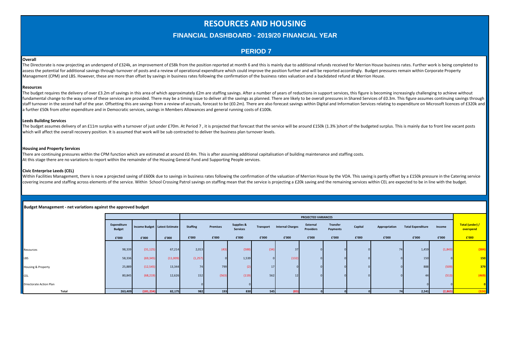### **RESOURCES AND HOUSING**

#### **FINANCIAL DASHBOARD - 2019/20 FINANCIAL YEAR**

#### **PERIOD 7**

#### **Overall**

The Directorate is now projecting an underspend of £324k, an improvement of £58k from the position reported at month 6 and this is mainly due to additional refunds received for Merrion House business rates. Further work is assess the potential for additional savings through turnover of posts and a review of operational expenditure which could improve the position further and will be reported accordingly. Budget pressures remain within Corpor Management (CPM) and LBS. However, these are more than offset by savings in business rates following the confirmation of the business rates valuation and a backdated refund at Merrion House.

#### **Resources**

The budget requires the delivery of over £3.2m of savings in this area of which approximately £2m are staffing savings. After a number of years of reductions in support services, this figure is becoming increasingly challe fundamental change to the way some of these services are provided. There may be a timing issue to deliver all the savings as planned. There are likely to be overall pressures in Shared Services of £0.3m. This figure assume Istaff turnover in the second half of the vear. Offsetting this are savings from a review of accruals, forecast to be (£0.2m). There are also forecast savings within Digital and Information Services relating to expenditure a further £50k from other expenditure and in Democratic services, savings in Members Allowances and general running costs of £100k.

#### **Leeds Building Services**

The budget assumes delivery of an £11m surplus with a turnover of just under £70m. At Period 7, it is projected that forecast that the service will be around £150k (1.3%) short of the budgeted surplus. This is mainly due t which will affect the overall recovery position. It is assumed that work will be sub contracted to deliver the business plan turnover levels.

#### **Housing and Property Services**

There are continuing pressures within the CPM function which are estimated at around £0.4m. This is after assuming additional capitalisation of building maintenance and staffing costs. At this stage there are no variations to report within the remainder of the Housing General Fund and Supporting People services.

#### **Civic Enterprise Leeds (CEL)**

Within Facilities Management, there is now a projected saving of £600k due to savings in business rates following the confirmation of the valuation of Merrion House by the VOA. This saving is partly offset by a £150k press covering income and staffing across elements of the service. Within School Crossing Patrol savings on staffing mean that the service is projecting a £20k saving and the remaining services within CEL are expected to be in l

| Budget Management - net variations against the approved budget |
|----------------------------------------------------------------|
|----------------------------------------------------------------|

|                                |                              |            |                               |                 |          |                                          |                 |                         | <b>PROJECTED VARIANCES</b>   |                      |         |               |                          |         |                              |
|--------------------------------|------------------------------|------------|-------------------------------|-----------------|----------|------------------------------------------|-----------------|-------------------------|------------------------------|----------------------|---------|---------------|--------------------------|---------|------------------------------|
|                                | Expenditure<br><b>Budget</b> |            | Income Budget Latest Estimate | <b>Staffing</b> | Premises | <b>Supplies &amp;</b><br><b>Services</b> | Transport       | <b>Internal Charges</b> | External<br><b>Providers</b> | Transfer<br>Payments | Capital | Appropriation | <b>Total Expenditure</b> | Income  | Total (under) /<br>overspend |
|                                | £'000                        | £'000      | £'000                         | £'000           | £'000    | £'000                                    | £'000           | £'000                   | £'000                        | £'000                | £'000   | £'000         | £'000                    | £'000   | £'000                        |
|                                |                              |            |                               |                 |          |                                          |                 |                         |                              |                      |         |               |                          |         |                              |
| Resources                      | 98,339                       | (31, 125)  | 67,214                        | 2,013           | (43)     | (588)                                    | (34)            | 37                      |                              |                      |         | 74            | 1,459                    | (1,843) | (384)                        |
| LBS                            | 58,336                       | (69, 345)  | (11,009)                      | (1, 257)        |          | 1,539                                    |                 | (132)                   |                              |                      |         |               | 150                      |         | <b>150</b>                   |
| Housing & Property             | 25,889                       | (12, 545)  | 13,344                        | 74              | 799      | (2)                                      | 17 <sup>1</sup> |                         |                              |                      |         |               | 888                      | (509    | 379                          |
| CEL                            | 80,845                       | (68, 219)  | 12,626                        | 152             | (563)    | (119)                                    | 562             | 12                      |                              |                      |         |               |                          | (513)   | (469)                        |
| <b>Driectorate Action Plan</b> |                              |            |                               |                 |          |                                          |                 |                         |                              |                      |         |               |                          |         |                              |
| Total                          | 263,409                      | (181, 234) | 82,175                        | 982             | 193      | 830                                      | 545             | (83)                    |                              |                      |         |               | 2,541                    | (2,865) |                              |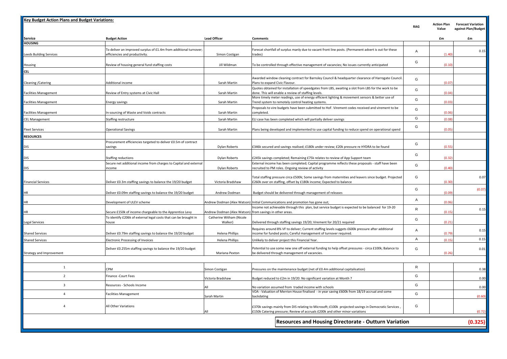| <b>Key Budget Action Plans and Budget Variations:</b> |                                                                                                     |                                                          |                                                                                                                                                                                      | RAG            | <b>Action Plan</b><br>Value | <b>Forecast Variation</b><br>against Plan/Budget |
|-------------------------------------------------------|-----------------------------------------------------------------------------------------------------|----------------------------------------------------------|--------------------------------------------------------------------------------------------------------------------------------------------------------------------------------------|----------------|-----------------------------|--------------------------------------------------|
| <b>Service</b>                                        | <b>Budget Action</b>                                                                                | <b>Lead Officer</b>                                      | <b>Comments</b>                                                                                                                                                                      |                | £m                          | £m                                               |
| <b>HOUSING</b>                                        |                                                                                                     |                                                          |                                                                                                                                                                                      |                |                             |                                                  |
| <b>Leeds Building Services</b>                        | To deliver an improved surplus of £1.4m from additional turnover;<br>efficiencies and productivity. | Simon Costigan                                           | Forecat shortfall of surplus manly due to vacant front line posts. (Permanent advert is out for these<br>trades)                                                                     | $\overline{A}$ | (1.40)                      | 0.15                                             |
| Housing                                               | Review of housing general fund staffing costs                                                       | Jill Wildman                                             | To be controlled through effective management of vacancies; No issues currently anticipated                                                                                          | G              | (0.10)                      |                                                  |
| CEL                                                   |                                                                                                     |                                                          |                                                                                                                                                                                      |                |                             |                                                  |
| Cleaning / Catering                                   | <b>Additional income</b>                                                                            | Sarah Martin                                             | Awarded window cleaning contract for Barnsley Council & headquarter clearance of Harrogate Council.<br>Plans to expand Civic Flavour.                                                | G              | (0.07)                      |                                                  |
| <b>Facilities Management</b>                          | Review of Entry systems at Civic Hall                                                               | Sarah Martin                                             | Quotes obtained for installation of speedgates from LBS, awaiting a slot from LBS for the work to be<br>done. This will enable a review of staffing levels.                          | G              | (0.04)                      |                                                  |
| <b>Facilities Management</b>                          | Energy savings                                                                                      | Sarah Martin                                             | More timely meter readings, use of energy efficient lighting & movement sensors & better use of<br>Trend system to remotely control heating systems.                                 | G              | (0.03)                      |                                                  |
| <b>Facilities Management</b>                          | In-sourcing of Waste and Voids contracts                                                            | Sarah Martin                                             | Proposals to vire budgets have been submitted to HoF. Virement codes received and virement to be<br>completed.                                                                       | G              | (0.06)                      |                                                  |
| <b>CEL Management</b>                                 | Staffing restructure                                                                                | Sarah Martin                                             | ELI case has been completed which will partially deliver savings                                                                                                                     | G              | (0.08)                      |                                                  |
| <b>Fleet Services</b>                                 | <b>Operational Savings</b>                                                                          | Sarah Martin                                             | Plans being developed and implemented to use capital funding to reduce spend on operational spend                                                                                    | G              | (0.05)                      |                                                  |
| <b>RESOURCES</b>                                      |                                                                                                     |                                                          |                                                                                                                                                                                      |                |                             |                                                  |
| DIS                                                   | Procurement efficiencies targeted to deliver £0.5m of contract<br>savings                           | <b>Dylan Roberts</b>                                     | £346k secured and savings realised; £180k under review; £20k pressure re HYDRA to be found                                                                                           | G              | (0.55)                      |                                                  |
| DIS                                                   | Staffing reductions                                                                                 | Dylan Roberts                                            | £245k savings completed; Remaining £75k relates to review of App Support team                                                                                                        | G              | (0.32)                      |                                                  |
| DIS                                                   | Secure net additional income from charges to Capital and external<br>income                         | Dylan Roberts                                            | External income has been completed; Capital programme reflects these proposals - staff have been<br>recruited to PM roles. Ongoing review of activity                                | G              | (0.40)                      |                                                  |
|                                                       |                                                                                                     |                                                          | Total staffing pressure circa £500k; Some savings from maternities and leavers since budget. Projected                                                                               | G              |                             | 0.07                                             |
| <b>Financial Services</b>                             | Deliver £0.3m staffing savings to balance the 19/20 budget                                          | Victoria Bradshaw                                        | £260k over on staffing, offset by £180k income; Expected to balance                                                                                                                  |                | (0.30)                      |                                                  |
| HR                                                    | Deliver £0.09m staffing savings to balance the 19/20 budget                                         | Andrew Dodman                                            | Budget should be delivered through management of releases                                                                                                                            | G              | (0.09)                      | (0.07)                                           |
| ΗR                                                    | Development of ULEV scheme                                                                          | Andrew Dodman (Alex Watson)                              | Initial Communications and promotion has gone out;                                                                                                                                   | A              | (0.06)                      |                                                  |
| HR                                                    | Secure £150k of income chargeable to the Apprentice Levy                                            | Andrew Dodman (Alex Watson) from savings in other areas. | Income not achievable through this plan, but service budget is expected to be balanced for 19-20                                                                                     | $\mathsf{R}$   | (0.15)                      | 0.15                                             |
| Legal Services                                        | To identify £206k of external legal costs that can be brought in<br>house                           | Catherine Witham (Nicole<br>Walker)                      | Delivered through staffing savings 19/20; Virement for 20/21 required                                                                                                                | G              | (0.21)                      |                                                  |
| <b>Shared Services</b>                                | Deliver £0.79m staffing savings to balance the 19/20 budget                                         | <b>Helena Phillips</b>                                   | Requires around 8% VF to deliver; Current staffing levels suggets £600k pressure after additional<br>income for funded posts; Careful management of turnover required.               | $\overline{A}$ | (0.79)                      | 0.15                                             |
| <b>Shared Services</b>                                | <b>Electronic Processing of Invoices</b>                                                            | <b>Helena Phillips</b>                                   | Unlikely to deliver project this Financial Year.                                                                                                                                     | A              | (0.15)                      | 0.15                                             |
| Strategy and Improvement                              | Deliver £0.255m staffing savings to balance the 19/20 budget                                        | Mariana Pexton                                           | Potential to use some new one off external funding to help offset pressures - circa £100k; Balance to<br>be delivered through management of vacancies.                               | G              | (0.26)                      | 0.01                                             |
|                                                       |                                                                                                     |                                                          |                                                                                                                                                                                      |                |                             |                                                  |
| $\mathbf{1}$                                          | CPM                                                                                                 | Simon Costigan                                           | Pressures on the maintenance budget (net of £0.4m additional capitalisation)                                                                                                         | $\mathsf{R}$   |                             | 0.38                                             |
| $\overline{2}$                                        | Finance -Court Fees                                                                                 | Victoria Bradshaw                                        | Budget reduced to £2m in 19/20. No significant variation at Month 7                                                                                                                  | G              |                             | 0.00                                             |
| 3                                                     | Resources - Schools Income                                                                          | All                                                      | No variation assumed from traded income with schools                                                                                                                                 | G              |                             | 0.00                                             |
| $\overline{4}$                                        | Facilities Management                                                                               | Sarah Martin                                             | VOA - Valuation of Merrion House finalised - in year saving £600k from 18/19 accrual and some<br>backdating                                                                          | G              |                             | (0.60)                                           |
| $\overline{4}$                                        | All Other Variations                                                                                | All                                                      | £370k savings mainly from DIS relating to Microsoft; £100k projected savings in Democratic Services,<br>£150k Catering pressure; Review of accruals £200k and other minor variations | G              |                             | (0.72)                                           |
|                                                       |                                                                                                     |                                                          |                                                                                                                                                                                      |                |                             |                                                  |
|                                                       |                                                                                                     |                                                          | <b>Resources and Housing Directorate - Outturn Variation</b>                                                                                                                         |                |                             | (0.325)                                          |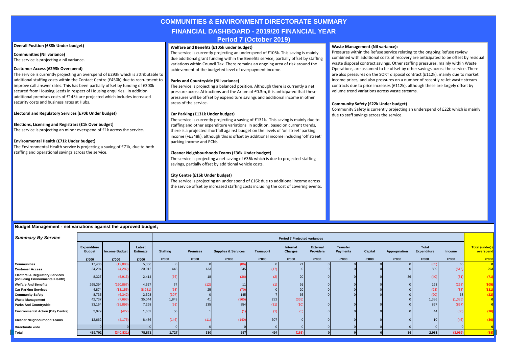### **COMMUNITIES & ENVIRONMENT DIRECTORATE SUMMARY FINANCIAL DASHBOARD - 2019/20 FINANCIAL YEAR**

#### **Period 7 (October 2019)**

#### **Overall Position (£88k Under budget)**

**Communities (Nil variance)** The service is projecting a nil variance.

#### **Customer Access (£293k Overspend)**

The service is currently projecting an overspend of £293k which is attributable to additional staffing costs within the Contact Centre (£450k) due to recruitment to improve call answer rates. This has been partially offset by funding of £300k secured from Housing Leeds in respect of Housing enquiries. In addition additional premises costs of £143k are projected which includes increased security costs and business rates at Hubs.

#### **Electoral and Regulatory Services (£70k Under budget)**

#### **Elections, Licensing and Registrars (£1k Over budget)**

The service is projecting an minor overspend of £1k across the service.

#### **Environmental Health (£71k Under budget)**

The Environmental Health service is projecting a saving of £71k, due to both staffing and operational savings across the service.

#### **Welfare and Benefits (£105k under budget)**

The service is currently projecting an underspend of £105k. This saving is mainly due additional grant funding within the Benefits service, partially offset by staffing variations within Council Tax. There remains an ongoing area of risk around the achievement of the budgeted level of overpayment income.

#### **Parks and Countryside (Nil variance)**

The service is projecting a balanced position. Although there is currently a net pressure across Attractions and the Arium of £0.3m, it is anticipated that these pressures will be offset by expenditure savings and additional income in other areas of the service.

#### **Car Parking (£131k Under budget)**

The service is currently projecting a saving of £131k. This saving is mainly due to staffing and other expenditure variations In addition, based on current trends, there is a projected shortfall against budget on the levels of 'on street' parking income (+£348k), although this is offset by additional income including 'off street' parking income and PCNs

#### **Cleaner Neighbourhoods Teams (£36k Under budget)**

The service is projecting a net saving of £36k which is due to projected staffing savings, partially offset by additional vehicle costs.

#### **City Centre (£16k Under budget)**

The service is projecting an under spend of £16k due to additional income across the service offset by increased staffing costs including the cost of covering events.

#### **Waste Management (Nil variance):**

Pressures within the Refuse service relating to the ongoing Refuse review combined with additional costs of recovery are anticipated to be offset by residual waste disposal contract savings. Other staffing pressures, mainly within Waste Operations, are assumed to be offset by other savings across the service. There are also pressures on the SORT disposal contract (£112k), mainly due to market income prices, and also pressures on a number of recently re-let waste stream contracts due to price increases (£112k), although these are largely offset by volume trend variations across waste streams.

#### **Community Safety (£22k Under budget)**

Community Safety is currently projecting an underspend of £22k which is mainly due to staff savings across the service.

#### **Budget Management - net variations against the approved budget;**

| <b>Summary By Service</b>                                                      |                                     |                      |                           |                 |                 |                                |                  | <b>Period 7 Projected variances</b> |                                     |                                    |         |               |                             |          |                                     |
|--------------------------------------------------------------------------------|-------------------------------------|----------------------|---------------------------|-----------------|-----------------|--------------------------------|------------------|-------------------------------------|-------------------------------------|------------------------------------|---------|---------------|-----------------------------|----------|-------------------------------------|
|                                                                                | <b>Expenditure</b><br><b>Budget</b> | <b>Income Budget</b> | Latest<br><b>Estimate</b> | <b>Staffing</b> | <b>Premises</b> | <b>Supplies &amp; Services</b> | <b>Transport</b> | Internal<br>Charges                 | <b>External</b><br><b>Providers</b> | <b>Transfer</b><br><b>Payments</b> | Capital | Appropriation | Total<br><b>Expenditure</b> | Income   | <b>Total (under) /</b><br>overspend |
|                                                                                | £'000                               | £'000                | £'000                     | £'000           | £'000           | £'000                          | £'000            | £'000                               | £'000                               | £'000                              | £'000   | £'000         | £'000                       | £'000    | £'000                               |
| <b>Communities</b>                                                             | 17,436                              | (12,080)             | 5,356                     |                 |                 |                                |                  | 21                                  |                                     |                                    |         |               |                             | 65       |                                     |
| <b>Customer Access</b>                                                         | 24,294                              | (4,282)              | 20,012                    | 448             | 133             | 245                            | (17)             |                                     |                                     |                                    |         |               | 809                         | (516)    | 293                                 |
| <b>Electoral &amp; Regulatory Services</b><br>(including Environmental Health) | 8,327                               | (5,913)              | 2,414                     | (76)            | 18 <sub>1</sub> | (36)                           | (2)              | 20                                  |                                     |                                    |         | 36            | (40)                        | (31)     | (71)                                |
| <b>Welfare And Benefits</b>                                                    | 265,394                             | (260, 867)           | 4,527                     | 74              | (12)            |                                | (1)              | 91                                  |                                     |                                    |         |               | 163                         | (268)    | (105)                               |
| <b>Car Parking Services</b>                                                    | 4,874                               | (13, 155)            | (8, 281)                  | (68)            | 25              | (70)                           |                  | 20                                  |                                     |                                    |         |               | (93)                        | (38)     | (131)                               |
| <b>Community Safety</b>                                                        | 8,735                               | (6, 342)             | 2,393                     | (307)           |                 | 145                            |                  | 65                                  |                                     |                                    |         |               | (90)                        | 68       | (22)                                |
| <b>Waste Management</b>                                                        | 42,737                              | (7,693)              | 35,044                    | 1,843           | 41              | (365)                          | 232              | (365)                               |                                     |                                    |         |               | 1,386                       | (1, 386) | $\overline{\mathbf{0}}$             |
| <b>Parks And Countryside</b>                                                   | 33,164                              | (25, 896)            | 7,268                     | (91)            | 135             | 854                            | (31)             | (10)                                |                                     |                                    |         |               | 857                         | (857)    |                                     |
| <b>Environmental Action (City Centre)</b>                                      | 2,079                               | (427)                | 1,652                     | 50              |                 |                                | $\overline{11}$  | (5)                                 |                                     |                                    |         |               | 44                          | (60)     | (16)                                |
| <b>Cleaner Neighbourhood Teams</b>                                             | 12,662                              | (4, 176)             | 8,486                     | (146)           | (11)            | (140)                          | 307              |                                     |                                     |                                    |         |               | 10 <sub>1</sub>             | (46)     | (36)                                |
| Directorate wide                                                               |                                     |                      |                           |                 |                 |                                |                  |                                     |                                     |                                    |         |               |                             |          |                                     |
| Total                                                                          | 419,702                             | (340, 831)           | 78,871                    | 1,727           | 330             | 557                            | 494              | (163)                               |                                     |                                    |         | 36            | 2,981                       | (3,069)  |                                     |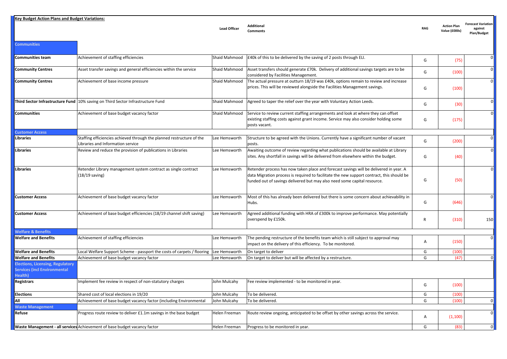**Key Budget Action Plans and Budget Variations:**

**Communities**

**Lead Officer Additional** 

**Comments RAG Action Plan Value (£000s)**

**Forecast Variation against Plan/Budget**

| Communities team                                                                          | Achievement of staffing efficiencies                                                                       | Shaid Mahmood | E40k of this to be delivered by the saving of 2 posts through ELI.                                                                                                                                                                                              | G              | (75)    | $\Omega$ |
|-------------------------------------------------------------------------------------------|------------------------------------------------------------------------------------------------------------|---------------|-----------------------------------------------------------------------------------------------------------------------------------------------------------------------------------------------------------------------------------------------------------------|----------------|---------|----------|
| <b>Community Centres</b>                                                                  | Asset transfer savings and general efficiencies within the service                                         | Shaid Mahmood | Asset transfers should generate £70k. Delivery of additional savings targets are to be<br>considered by Facilities Management.                                                                                                                                  | G              | (100)   |          |
| <b>Community Centres</b>                                                                  | Achievement of base income pressure                                                                        | Shaid Mahmood | The actual pressure at outturn 18/19 was £40k, options remain to review and increase<br>prices. This will be reviewed alongside the Facilities Management savings.                                                                                              | G              | (100)   |          |
|                                                                                           | Third Sector Infrastructure Fund 10% saving on Third Sector Infrastructure Fund                            | Shaid Mahmood | Agreed to taper the relief over the year with Voluntary Action Leeds.                                                                                                                                                                                           | G              | (30)    | 0        |
| Communities                                                                               | Achievement of base budget vacancy factor                                                                  | Shaid Mahmood | Service to review current staffing arrangements and look at where they can offset<br>existing staffing costs against grant income. Service may also consider holding some<br>posts vacant.                                                                      | G              | (175)   |          |
| <b>Customer Access</b>                                                                    |                                                                                                            |               |                                                                                                                                                                                                                                                                 |                |         |          |
| Libraries                                                                                 | Staffing efficiencies achieved through the planned restructure of the<br>Libraries and Information service | Lee Hemsworth | Structure to be agreed with the Unions. Currently have a significant number of vacant<br>posts.                                                                                                                                                                 | G              | (200)   |          |
| Libraries                                                                                 | Review and reduce the provision of publications in Libraries                                               | Lee Hemsworth | Awaiting outcome of review regarding what publications should be available at Library<br>sites. Any shortfall in savings will be delivered from elsewhere within the budget.                                                                                    | G              | (40)    |          |
| Libraries                                                                                 | Retender Library management system contract as single contract<br>$(18/19 \text{ saving})$                 | Lee Hemsworth | Retender process has now taken place and forecast savings will be delivered in year. A<br>data Migration process is required to facilitate the new support contract, this should be<br>funded out of savings delivered but may also need some capital resource. | G              | (50)    |          |
| <b>Customer Access</b>                                                                    | Achievement of base budget vacancy factor                                                                  | Lee Hemsworth | Most of this has already been delivered but there is some concern about achievability in<br>Hubs.                                                                                                                                                               | G              | (646)   |          |
| <b>Customer Access</b>                                                                    | Achievement of base budget efficiencies (18/19 channel shift saving)                                       | Lee Hemsworth | Agreed additional funding with HRA of £300k to improve performance. May potentially<br>overspend by £150k.                                                                                                                                                      | $\mathsf{R}$   | (310)   | 150      |
| <b>Welfare &amp; Benefits</b>                                                             |                                                                                                            |               |                                                                                                                                                                                                                                                                 |                |         |          |
| <b>Welfare and Benefits</b>                                                               | Achievement of staffing efficiencies                                                                       | Lee Hemsworth | The pending restructure of the benefits team which is still subject to approval may<br>impact on the delivery of this efficiency. To be monitored.                                                                                                              | $\overline{A}$ | (150)   | $\Omega$ |
| <b>Welfare and Benefits</b>                                                               | Local Welfare Support Scheme - passport the costs of carpets / flooring                                    | Lee Hemsworth | On target to deliver                                                                                                                                                                                                                                            | G              | (100)   |          |
| <b>Welfare and Benefits</b>                                                               | Achievement of base budget vacancy factor                                                                  | Lee Hemsworth | On target to deliver but will be affected by a restructure.                                                                                                                                                                                                     | G              | (47)    |          |
| <b>Elections, Licensing, Regulatory</b><br><b>Services (incl Environmental</b><br>Health) |                                                                                                            |               |                                                                                                                                                                                                                                                                 |                |         |          |
| <b>Registrars</b>                                                                         | Implement fee review in respect of non-statutory charges                                                   | John Mulcahy  | Fee review implemented - to be monitored in year.                                                                                                                                                                                                               | G              | (100)   |          |
| <b>Elections</b>                                                                          | Shared cost of local elections in 19/20                                                                    | John Mulcahy  | To be delivered.                                                                                                                                                                                                                                                | G              | (100)   |          |
| All                                                                                       | Achievement of base budget vacancy factor (including Environmental                                         | John Mulcahy  | To be delivered.                                                                                                                                                                                                                                                | G              | (100)   |          |
| <b>Waste Management</b>                                                                   |                                                                                                            |               |                                                                                                                                                                                                                                                                 |                |         |          |
| Refuse                                                                                    | Progress route review to deliver £1.1m savings in the base budget                                          | Helen Freeman | Route review ongoing, anticipated to be offset by other savings across the service.                                                                                                                                                                             | $\overline{A}$ | (1,100) | $\Omega$ |
|                                                                                           | Waste Management - all services Achievement of base budget vacancy factor                                  | Helen Freeman | Progress to be monitored in year.                                                                                                                                                                                                                               | G              | (83)    | $\Omega$ |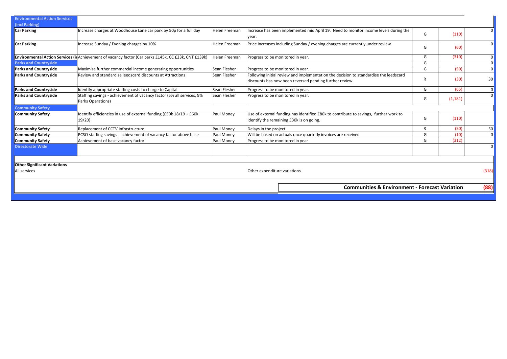| <b>Environmental Action Services</b><br>(incl Parking) |                                                                                                       |               |                                                                                                                                                  |   |          |                 |
|--------------------------------------------------------|-------------------------------------------------------------------------------------------------------|---------------|--------------------------------------------------------------------------------------------------------------------------------------------------|---|----------|-----------------|
| <b>Car Parking</b>                                     | Increase charges at Woodhouse Lane car park by 50p for a full day                                     | Helen Freeman | Increase has been implemented mid April 19. Need to monitor income levels during the<br>year.                                                    | G | (110)    | $\Omega$        |
| <b>Car Parking</b>                                     | Increase Sunday / Evening charges by 10%                                                              | Helen Freeman | Price increases including Sunday / evening charges are currently under review.                                                                   | G | (60)     | $\overline{0}$  |
|                                                        | Environmental Action Services (in Achievement of vacancy factor (Car parks £145k, CC £23k, CNT £139k) | Helen Freeman | Progress to be monitored in year.                                                                                                                | G | (310)    | $\Omega$        |
| <b>Parks and Countryside</b>                           |                                                                                                       |               |                                                                                                                                                  | G |          | $\overline{0}$  |
| <b>Parks and Countryside</b>                           | Maximise further commercial income generating opportunities                                           | Sean Flesher  | Progress to be monitored in year.                                                                                                                | G | (50)     | $\Omega$        |
| <b>Parks and Countryside</b>                           | Review and standardise leedscard discounts at Attractions                                             | Sean Flesher  | Following initial review and implementation the decision to standardise the leedscard<br>discounts has now been reversed pending further review. |   | (30)     | 30 <sup>1</sup> |
| <b>Parks and Countryside</b>                           | Identify appropriate staffing costs to charge to Capital                                              | Sean Flesher  | Progress to be monitored in year.                                                                                                                | G | (65)     | 0               |
| <b>Parks and Countryside</b>                           | Staffing savings - achievement of vacancy factor (5% all services, 9%<br>Parks Operations)            | Sean Flesher  | Progress to be monitored in year.                                                                                                                | G | (1, 181) | $\overline{0}$  |
| <b>Community Safety</b>                                |                                                                                                       |               |                                                                                                                                                  |   |          |                 |
| <b>Community Safety</b>                                | Identify efficiencies in use of external funding (£50k 18/19 + £60k<br>19/20                          | Paul Money    | Use of external funding has identified £80k to contribute to savings, further work to<br>identify the remaining £30k is on going.                | G | (110)    |                 |
| <b>Community Safety</b>                                | Replacement of CCTV infrastructure                                                                    | Paul Money    | Delays in the project.                                                                                                                           | R | (50)     | 50              |
| <b>Community Safety</b>                                | PCSO staffing savings - achievement of vacancy factor above base                                      | Paul Money    | Will be based on actuals once quarterly invoices are received                                                                                    | G | (10)     | 0               |
| <b>Community Safety</b>                                | Achievement of base vacancy factor                                                                    | Paul Money    | Progress to be monitored in year                                                                                                                 | G | (312)    |                 |
| <b>Directorate Wide</b>                                |                                                                                                       |               |                                                                                                                                                  |   |          | $\overline{0}$  |
|                                                        |                                                                                                       |               |                                                                                                                                                  |   |          |                 |
| <b>Other Significant Variations</b>                    |                                                                                                       |               |                                                                                                                                                  |   |          |                 |
| All services                                           |                                                                                                       |               | Other expenditure variations                                                                                                                     |   |          | (318)           |
|                                                        |                                                                                                       |               |                                                                                                                                                  |   |          |                 |
|                                                        |                                                                                                       |               | <b>Communities &amp; Environment - Forecast Variation</b>                                                                                        |   |          | (88)            |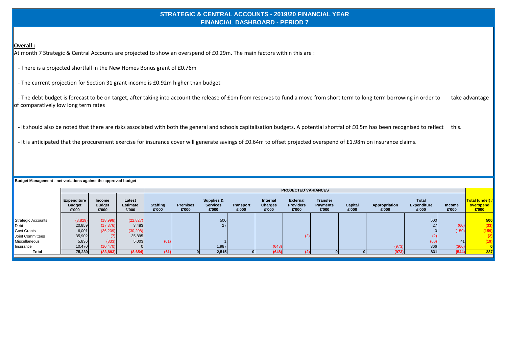#### **STRATEGIC & CENTRAL ACCOUNTS - 2019/20 FINANCIAL YEAR FINANCIAL DASHBOARD - PERIOD 7**

#### **Overall :**

At month 7 Strategic & Central Accounts are projected to show an overspend of £0.29m. The main factors within this are :

- There is a projected shortfall in the New Homes Bonus grant of £0.76m

- The current projection for Section 31 grant income is £0.92m higher than budget

- The debt budget is forecast to be on target, after taking into account the release of £1m from reserves to fund a move from short term to long term borrowing in order to take advantage of comparatively low long term rates

- It should also be noted that there are risks associated with both the general and schools capitalisation budgets. A potential shortfal of £0.5m has been recognised to reflect this.

- It is anticipated that the procurement exercise for insurance cover will generate savings of £0.64m to offset projected overspend of £1.98m on insurance claims.

**Budget Management - net variations against the approved budget**

|                           |                                              |                                         |                                    |                          |                          |                                                   |                           |                                     | <b>PROJECTED VARIANCES</b>                   |                                             |                  |                        |                                             |                        |                                       |
|---------------------------|----------------------------------------------|-----------------------------------------|------------------------------------|--------------------------|--------------------------|---------------------------------------------------|---------------------------|-------------------------------------|----------------------------------------------|---------------------------------------------|------------------|------------------------|---------------------------------------------|------------------------|---------------------------------------|
|                           | <b>Expenditure</b><br><b>Budget</b><br>£'000 | <b>Income</b><br><b>Budget</b><br>£'000 | Latest<br><b>Estimate</b><br>£'000 | <b>Staffing</b><br>£'000 | <b>Premises</b><br>£'000 | <b>Supplies &amp;</b><br><b>Services</b><br>£'000 | <b>Transport</b><br>£'000 | Internal<br><b>Charges</b><br>£'000 | <b>External</b><br><b>Providers</b><br>£'000 | <b>Transfer</b><br><b>Payments</b><br>£'000 | Capital<br>£'000 | Appropriation<br>£'000 | <b>Total</b><br><b>Expenditure</b><br>£'000 | <b>Income</b><br>£'000 | Total (under) /<br>overspend<br>£'000 |
|                           |                                              |                                         |                                    |                          |                          |                                                   |                           |                                     |                                              |                                             |                  |                        |                                             |                        |                                       |
| <b>Strategic Accounts</b> | (3,829)                                      | (18,998)                                | (22, 827)                          |                          |                          | 500                                               |                           |                                     |                                              |                                             |                  |                        | 500                                         |                        | 500                                   |
| Debt                      | 20,859                                       | (17, 376)                               | 3,483                              |                          |                          | 27 <sub>1</sub>                                   |                           |                                     |                                              |                                             |                  |                        | 27                                          | (60)                   | (33)                                  |
| <b>Govt Grants</b>        | 6,001                                        | (36, 209)                               | (30, 208)                          |                          |                          |                                                   |                           |                                     |                                              |                                             |                  |                        |                                             | (159)                  | (159)                                 |
| Joint Committees          | 35,902                                       | (7)                                     | 35,895                             |                          |                          |                                                   |                           |                                     |                                              |                                             |                  |                        | (2)                                         |                        |                                       |
| Miscellaneous             | 5,836                                        | (833)                                   | 5,003                              | (61)                     |                          |                                                   |                           |                                     |                                              |                                             |                  |                        | (60)                                        | 41                     | (19)                                  |
| Insurance                 | 10,470                                       | (10, 470)                               |                                    |                          |                          | 1,987                                             |                           | (648)                               |                                              |                                             |                  | (973)                  | 366                                         | (366)                  |                                       |
| <b>Total</b>              | 75,239                                       | (83, 893)                               | (8,654)                            | (61)                     |                          | 2,515                                             |                           | (648)                               |                                              |                                             |                  | (973)                  | 831                                         | (544)                  | 287                                   |
|                           |                                              |                                         |                                    |                          |                          |                                                   |                           |                                     |                                              |                                             |                  |                        |                                             |                        |                                       |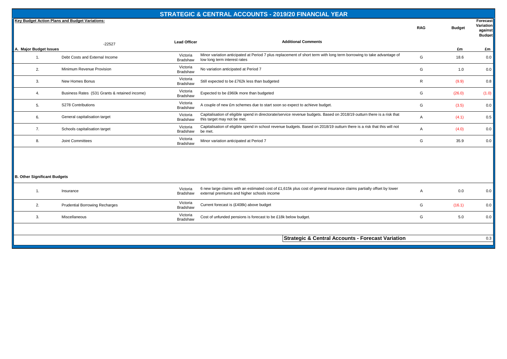|                                     |                                                |                             | <b>STRATEGIC &amp; CENTRAL ACCOUNTS - 2019/20 FINANCIAL YEAR</b>                                                                                                    |                |               |                                                   |
|-------------------------------------|------------------------------------------------|-----------------------------|---------------------------------------------------------------------------------------------------------------------------------------------------------------------|----------------|---------------|---------------------------------------------------|
|                                     | Key Budget Action Plans and Budget Variations: |                             |                                                                                                                                                                     | <b>RAG</b>     | <b>Budget</b> | Forecast<br>Variation<br>against<br><b>Budget</b> |
|                                     | $-22527$                                       | <b>Lead Officer</b>         | <b>Additional Comments</b>                                                                                                                                          |                |               |                                                   |
| A. Major Budget Issues              |                                                |                             |                                                                                                                                                                     |                | £m            | £m                                                |
| 1.                                  | Debt Costs and External Income                 | Victoria<br><b>Bradshaw</b> | Minor variation anticipated at Period 7 plus replacement of short term with long term borrowing to take advantage of<br>low long term interest rates                | G              | 18.6          | 0.0                                               |
| 2.                                  | Minimum Revenue Provision                      | Victoria<br><b>Bradshaw</b> | No variation anticipated at Period 7                                                                                                                                | G              | 1.0           | 0.0                                               |
| 3.                                  | New Homes Bonus                                | Victoria<br>Bradshaw        | Still expected to be £762k less than budgeted                                                                                                                       | $\mathsf{R}$   | (9.9)         | 0.8                                               |
| 4.                                  | Business Rates (S31 Grants & retained income)  | Victoria<br>Bradshaw        | Expected to be £960k more than budgeted                                                                                                                             | G              | (26.0)        | (1.0)                                             |
| 5.                                  | S278 Contributions                             | Victoria<br>Bradshaw        | A couple of new £m schemes due to start soon so expect to achieve budget.                                                                                           | G              | (3.5)         | 0.0                                               |
| 6.                                  | General capitalisation target                  | Victoria<br><b>Bradshaw</b> | Capitalisation of eligible spend in directorate/service revenue budgets. Based on 2018/19 outturn there is a risk that<br>this target may not be met.               | Α              | (4.1)         | 0.5                                               |
| 7.                                  | Schools capitalisation target                  | Victoria<br>Bradshaw        | Capitalisation of eligible spend in school revenue budgets. Based on 2018/19 outturn there is a risk that this will not<br>be met.                                  | Α              | (4.0)         | 0.0                                               |
| 8.                                  | <b>Joint Committees</b>                        | Victoria<br>Bradshaw        | Minor variation anticipated at Period 7                                                                                                                             | G              | 35.9          | 0.0                                               |
| <b>B. Other Significant Budgets</b> |                                                |                             |                                                                                                                                                                     |                |               |                                                   |
| $\mathbf{1}$ .                      | Insurance                                      | Victoria<br>Bradshaw        | 6 new large claims with an estimated cost of £1,615k plus cost of general insurance claims partially offset by lower<br>external premiums and higher schools income | $\overline{A}$ | 0.0           | 0.0                                               |
| 2.                                  | <b>Prudential Borrowing Recharges</b>          | Victoria<br>Bradshaw        | Current forecast is (£408k) above budget                                                                                                                            | G              | (16.1)        | 0.0                                               |
| 3.                                  | Miscellaneous                                  | Victoria<br><b>Bradshaw</b> | Cost of unfunded pensions is forecast to be £18k below budget.                                                                                                      | G              | 5.0           | 0.0                                               |

**Strategic & Central Accounts - Forecast Variation** 0.3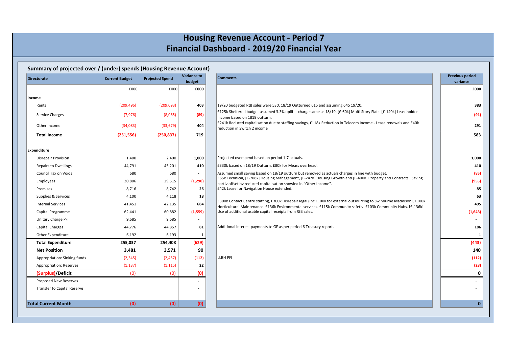## **Housing Revenue Account - Period 7 Financial Dashboard - 2019/20 Financial Year**

| <b>Directorate</b>           | <b>Current Budget</b> | <b>Projected Spend</b> | <b>Variance to</b><br>budget | <b>Comments</b>                                                                                                                                                                                                                            | <b>Previous period</b><br>variance |
|------------------------------|-----------------------|------------------------|------------------------------|--------------------------------------------------------------------------------------------------------------------------------------------------------------------------------------------------------------------------------------------|------------------------------------|
|                              | £000                  | £000                   | £000                         |                                                                                                                                                                                                                                            | £000                               |
| Income                       |                       |                        |                              |                                                                                                                                                                                                                                            |                                    |
| Rents                        | (209, 496)            | (209,093)              | 403                          | 19/20 budgeted RtB sales were 530. 18/19 Outturned 615 and assuming 645 19/20.                                                                                                                                                             |                                    |
| Service Charges              | (7, 976)              | (8,065)                | (89)                         | £125k Sheltered budget assumed 3.3% uplift - charge same as 18/19. [£-60k] Multi Story Flats. [£-140k] Leaseholder                                                                                                                         |                                    |
|                              |                       |                        |                              | income based on 1819 outturn.<br>£241k Reduced capitalisation due to staffing savings, £118k Reduction in Telecom Income - Lease renewals and £40k                                                                                         |                                    |
| Other Income                 | (34,083)              | (33, 679)              | 404                          | reduction in Switch 2 income                                                                                                                                                                                                               |                                    |
| <b>Total Income</b>          | (251, 556)            | (250, 837)             | 719                          |                                                                                                                                                                                                                                            |                                    |
| Expenditure                  |                       |                        |                              |                                                                                                                                                                                                                                            |                                    |
| <b>Disrepair Provision</b>   | 1,400                 | 2,400                  | 1,000                        | Projected overspend based on period 1-7 actuals.                                                                                                                                                                                           | 1,000                              |
| <b>Repairs to Dwellings</b>  | 44,791                | 45,201                 | 410                          | £330k based on 18/19 Outturn. £80k for Mears overhead.                                                                                                                                                                                     |                                    |
| Council Tax on Voids         | 680                   | 680                    | $\overline{\phantom{a}}$     | Assumed small saving based on 18/19 outturn but removed as actuals charges in line with budget.                                                                                                                                            |                                    |
| Employees                    | 30,806                | 29,515                 | (1, 290)                     | £65k Technical, [£-708k] Housing Management, [£-247k] Housing Growth and [£-400k] Property and Contracts. Saving<br>partly offset by reduced capitalisation showing in "Other Income".                                                     | (955)                              |
| Premises                     | 8,716                 | 8,742                  | 26                           | E42k Lease for Navigation House extended.                                                                                                                                                                                                  |                                    |
| Supplies & Services          | 4,100                 | 4,118                  | 18                           |                                                                                                                                                                                                                                            |                                    |
| <b>Internal Services</b>     | 41,451                | 42,135                 | 684                          | £300k Contact Centre statting, £300k Disrepair legal (inc £100k for external outsourcing to Swinburne Maddison), £100k<br>Horticultural Maintenance. £136k Environmental services. £115k Community safetly. £103k Community Hubs. [£-136k] |                                    |
| Capital Programme            | 62,441                | 60,882                 | (1,559)                      | Use of additional usable capital receipts from RtB sales.                                                                                                                                                                                  | (1,643)                            |
| Unitary Charge PFI           | 9,685                 | 9,685                  | $\overline{\phantom{a}}$     |                                                                                                                                                                                                                                            |                                    |
| Capital Charges              | 44,776                | 44,857                 | 81                           | Additional interest payments to GF as per period 6 Treasury report.                                                                                                                                                                        |                                    |
| Other Expenditure            | 6,192                 | 6,193                  | 1                            |                                                                                                                                                                                                                                            |                                    |
| <b>Total Expenditure</b>     | 255,037               | 254,408                | (629)                        |                                                                                                                                                                                                                                            | (443)                              |
| <b>Net Position</b>          | 3,481                 | 3,571                  | 90                           |                                                                                                                                                                                                                                            | 140                                |
| Appropriation: Sinking funds | (2, 345)              | (2, 457)               | (112)                        | <b>LLBH PFI</b>                                                                                                                                                                                                                            | (112)                              |
| Appropriation: Reserves      | (1, 137)              | (1, 115)               | 22                           |                                                                                                                                                                                                                                            |                                    |
| (Surplus)/Deficit            | (0)                   | (0)                    | (0)                          |                                                                                                                                                                                                                                            |                                    |
| Proposed New Reserves        |                       |                        | $\overline{\phantom{a}}$     |                                                                                                                                                                                                                                            |                                    |
| Transfer to Capital Reserve  |                       |                        | -                            |                                                                                                                                                                                                                                            |                                    |
| <b>Total Current Month</b>   | (0)                   | (0)                    | (0)                          |                                                                                                                                                                                                                                            |                                    |

|                        | 383     |
|------------------------|---------|
|                        | (91)    |
|                        | 291     |
|                        | 583     |
|                        |         |
|                        |         |
|                        | 1,000   |
|                        | 410     |
|                        | (85)    |
| ٦g                     | (955)   |
|                        | 85      |
|                        | 63      |
| 00 <sub>k</sub><br>ik1 | 495     |
|                        | (1,643) |
|                        |         |
|                        | 186     |
|                        | 1       |
|                        | (443)   |
|                        | 140     |
|                        | (112)   |
|                        | (28)    |
|                        | 0       |
|                        |         |
|                        |         |
|                        |         |
|                        | O       |
|                        |         |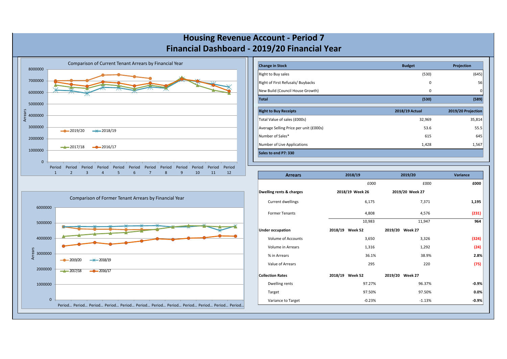

| <b>Change in Stock</b>                 | <b>Budget</b>  | Projection         |
|----------------------------------------|----------------|--------------------|
| Right to Buy sales                     | (530)          | (645)              |
| Right of First Refusals/ Buybacks      | 0              | 56                 |
| New Build (Council House Growth)       | 0              | 0                  |
| <b>Total</b>                           | (530)          | (589)              |
| <b>Right to Buy Receipts</b>           | 2018/19 Actual | 2019/20 Projection |
| Total Value of sales (£000s)           | 32,969         | 35,814             |
| Average Selling Price per unit (£000s) | 53.6           | 55.5               |
| Number of Sales*                       | 615            | 645                |
| Number of Live Applications            | 1,428          | 1,567              |
| Sales to end P7: 330                   |                |                    |

|                    | Comparison of Former Tenant Arrears by Financial Year                                        |
|--------------------|----------------------------------------------------------------------------------------------|
| 6000000            |                                                                                              |
| 5000000            | NZ.<br>$\overline{\mathcal{L}}$<br><b>N</b><br>$\mathbf{v}$<br>$\overline{\phantom{a}}$<br>ᅑ |
| 4000000            |                                                                                              |
| Arrears<br>3000000 |                                                                                              |
| 2000000            | $\rightarrow$ 2018/19<br>2019/20<br>$-2017/18$<br>$-2016/17$                                 |
| 1000000            |                                                                                              |
|                    |                                                                                              |
| $\mathbf{0}$       | Period Period Period Period Period Period Period Period Period Period Period Period          |

| <b>Arrears</b>            | 2018/19         | 2019/20         | <b>Variance</b> |
|---------------------------|-----------------|-----------------|-----------------|
|                           | £000            | £000            | £000            |
| Dwelling rents & charges  | 2018/19 Week 26 | 2019/20 Week 27 |                 |
| Current dwellings         | 6,175           | 7,371           | 1,195           |
| <b>Former Tenants</b>     | 4,808           | 4,576           | (231)           |
|                           | 10,983          | 11,947          | 964             |
| <b>Under occupation</b>   | 2018/19 Week 52 | 2019/20 Week 27 |                 |
| <b>Volume of Accounts</b> | 3,650           | 3,326           | (324)           |
| <b>Volume in Arrears</b>  | 1,316           | 1,292           | (24)            |
| % in Arrears              | 36.1%           | 38.9%           | 2.8%            |
| Value of Arrears          | 295             | 220             | (75)            |
| <b>Collection Rates</b>   | 2018/19 Week 52 | 2019/20 Week 27 |                 |
| Dwelling rents            | 97.27%          | 96.37%          | $-0.9%$         |
| Target                    | 97.50%          | 97.50%          | 0.0%            |
| Variance to Target        | $-0.23%$        | $-1.13%$        | $-0.9%$         |

## **Housing Revenue Account - Period 7 Financial Dashboard - 2019/20 Financial Year**